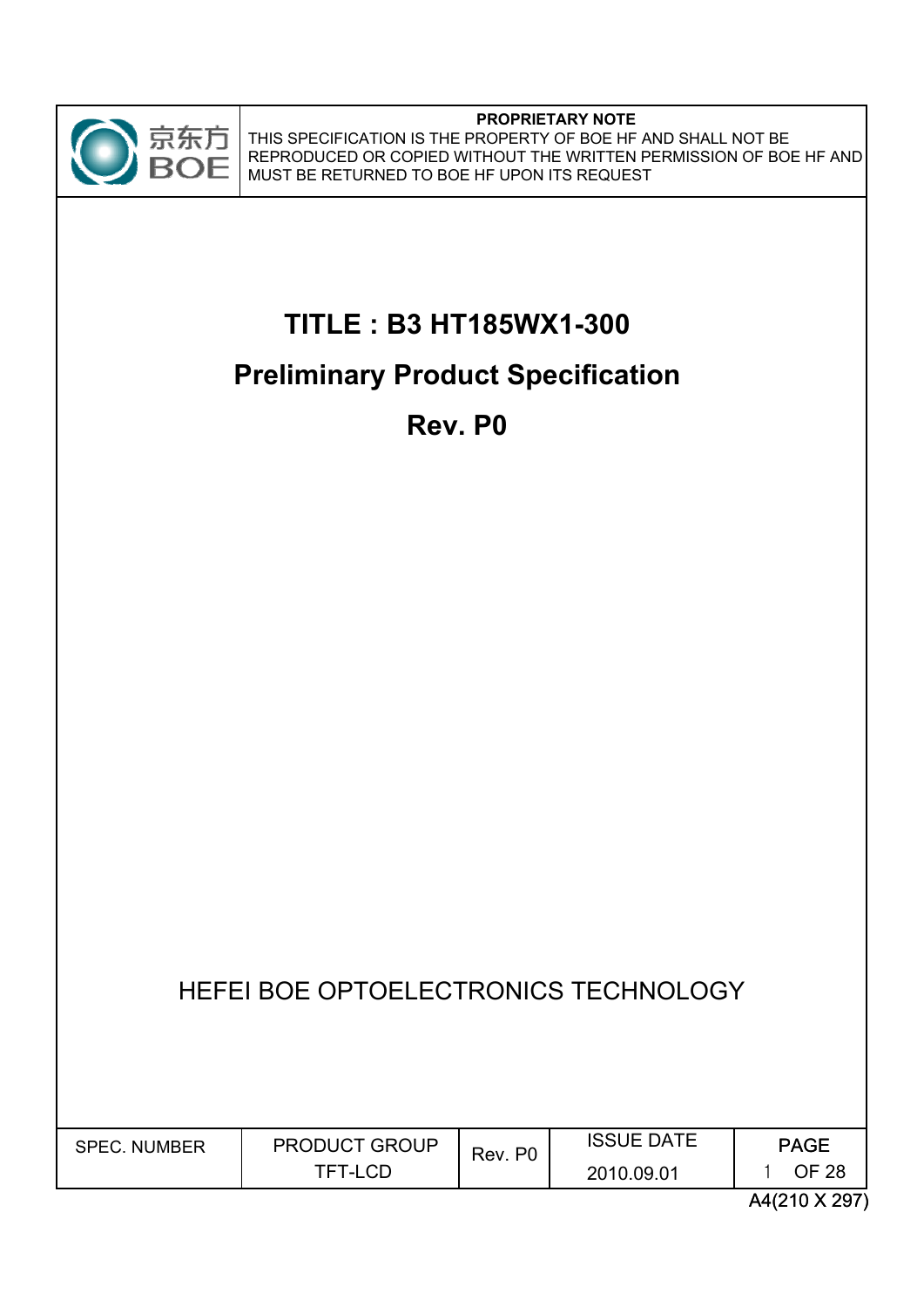

#### **PROPRIETARY NOTE**

THIS SPECIFICATION IS THE PROPERTY OF BOE HF AND SHALL NOT BE REPRODUCED OR COPIED WITHOUT THE WRITTEN PERMISSION OF BOE HF AND MUST BE RETURNED TO BOE HF UPON ITS REQUEST

# **TITLE : B3 HT185WX1-300**

## **Preliminary Product Specification**

**Rev. P0**

| HEFEI BOE OPTOELECTRONICS TECHNOLOGY |
|--------------------------------------|
|                                      |

| <b>SPEC. NUMBER</b> | <b>PRODUCT GROUP</b> | P <sub>0</sub><br>Rev. | <b>ISSUE DATE</b> | <b>PAGE</b> |
|---------------------|----------------------|------------------------|-------------------|-------------|
|                     | TFT-LCD              |                        | 2010.09.01        | OF 28       |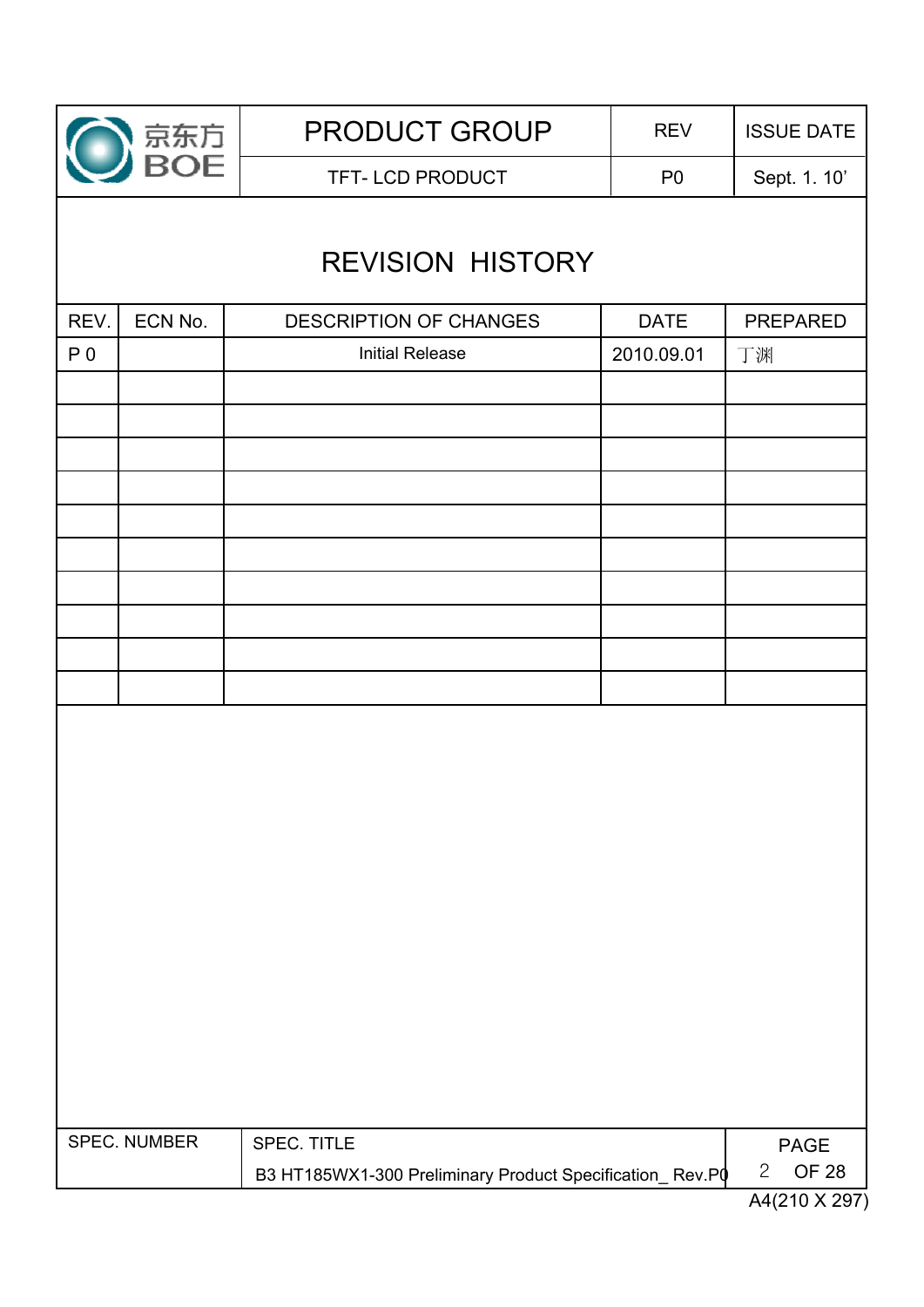

TFT-LCD PRODUCT P0 Sept. 1. 10'

# REVISION HISTORY

| REV.           | ECN No.      | DESCRIPTION OF CHANGES                                   | <b>DATE</b> | PREPARED                     |
|----------------|--------------|----------------------------------------------------------|-------------|------------------------------|
| P <sub>0</sub> |              | <b>Initial Release</b>                                   | 2010.09.01  | 丁渊                           |
|                |              |                                                          |             |                              |
|                |              |                                                          |             |                              |
|                |              |                                                          |             |                              |
|                |              |                                                          |             |                              |
|                |              |                                                          |             |                              |
|                |              |                                                          |             |                              |
|                |              |                                                          |             |                              |
|                |              |                                                          |             |                              |
|                |              |                                                          |             |                              |
|                |              |                                                          |             |                              |
|                |              |                                                          |             |                              |
|                |              |                                                          |             |                              |
|                |              |                                                          |             |                              |
|                |              |                                                          |             |                              |
|                |              |                                                          |             |                              |
|                |              |                                                          |             |                              |
|                |              |                                                          |             |                              |
|                |              |                                                          |             |                              |
|                |              |                                                          |             |                              |
|                |              |                                                          |             |                              |
|                |              |                                                          |             |                              |
|                |              |                                                          |             |                              |
|                |              |                                                          |             |                              |
|                | SPEC. NUMBER | SPEC. TITLE                                              |             | <b>PAGE</b>                  |
|                |              | B3 HT185WX1-300 Preliminary Product Specification_Rev.PO |             | $\mathbf{2}$<br><b>OF 28</b> |
|                |              |                                                          |             | A4(210 X 297)                |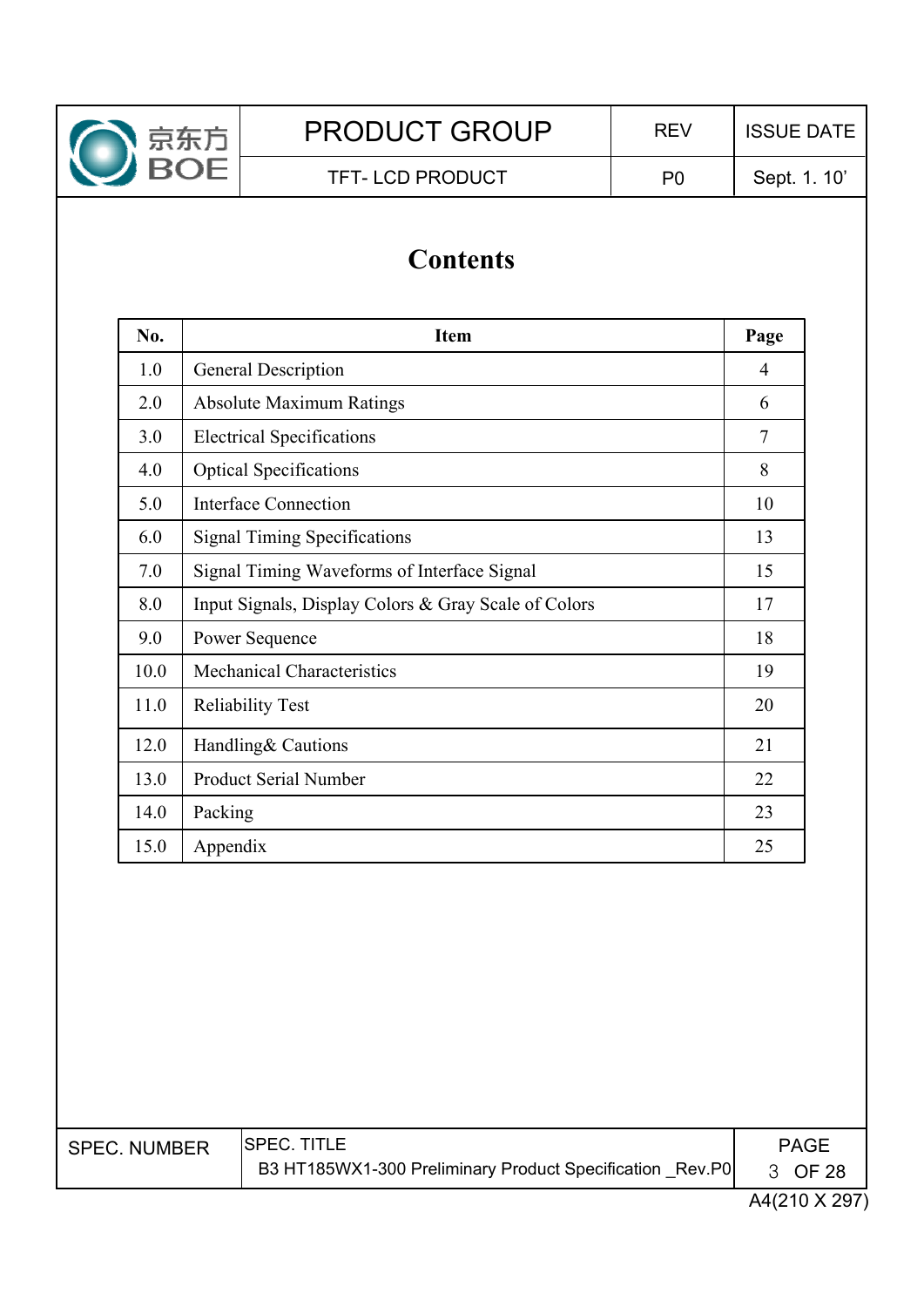

## **Contents**

| No.  | <b>Item</b>                                          | Page           |
|------|------------------------------------------------------|----------------|
| 1.0  | <b>General Description</b>                           | 4              |
| 2.0  | <b>Absolute Maximum Ratings</b>                      | 6              |
| 3.0  | <b>Electrical Specifications</b>                     | $\overline{7}$ |
| 4.0  | <b>Optical Specifications</b>                        | 8              |
| 5.0  | <b>Interface Connection</b>                          | 10             |
| 6.0  | <b>Signal Timing Specifications</b>                  | 13             |
| 7.0  | Signal Timing Waveforms of Interface Signal          | 15             |
| 8.0  | Input Signals, Display Colors & Gray Scale of Colors | 17             |
| 9.0  | Power Sequence                                       | 18             |
| 10.0 | <b>Mechanical Characteristics</b>                    | 19             |
| 11.0 | <b>Reliability Test</b>                              | 20             |
| 12.0 | Handling& Cautions                                   | 21             |
| 13.0 | <b>Product Serial Number</b>                         | 22             |
| 14.0 | Packing                                              | 23             |
| 15.0 | Appendix                                             | 25             |

| <b>SPEC. NUMBER</b> | <b>SPEC. TITLE</b>                                        | PAGE         |
|---------------------|-----------------------------------------------------------|--------------|
|                     | B3 HT185WX1-300 Preliminary Product Specification _Rev.P0 | 3 OF 28      |
|                     |                                                           | . <i>. .</i> |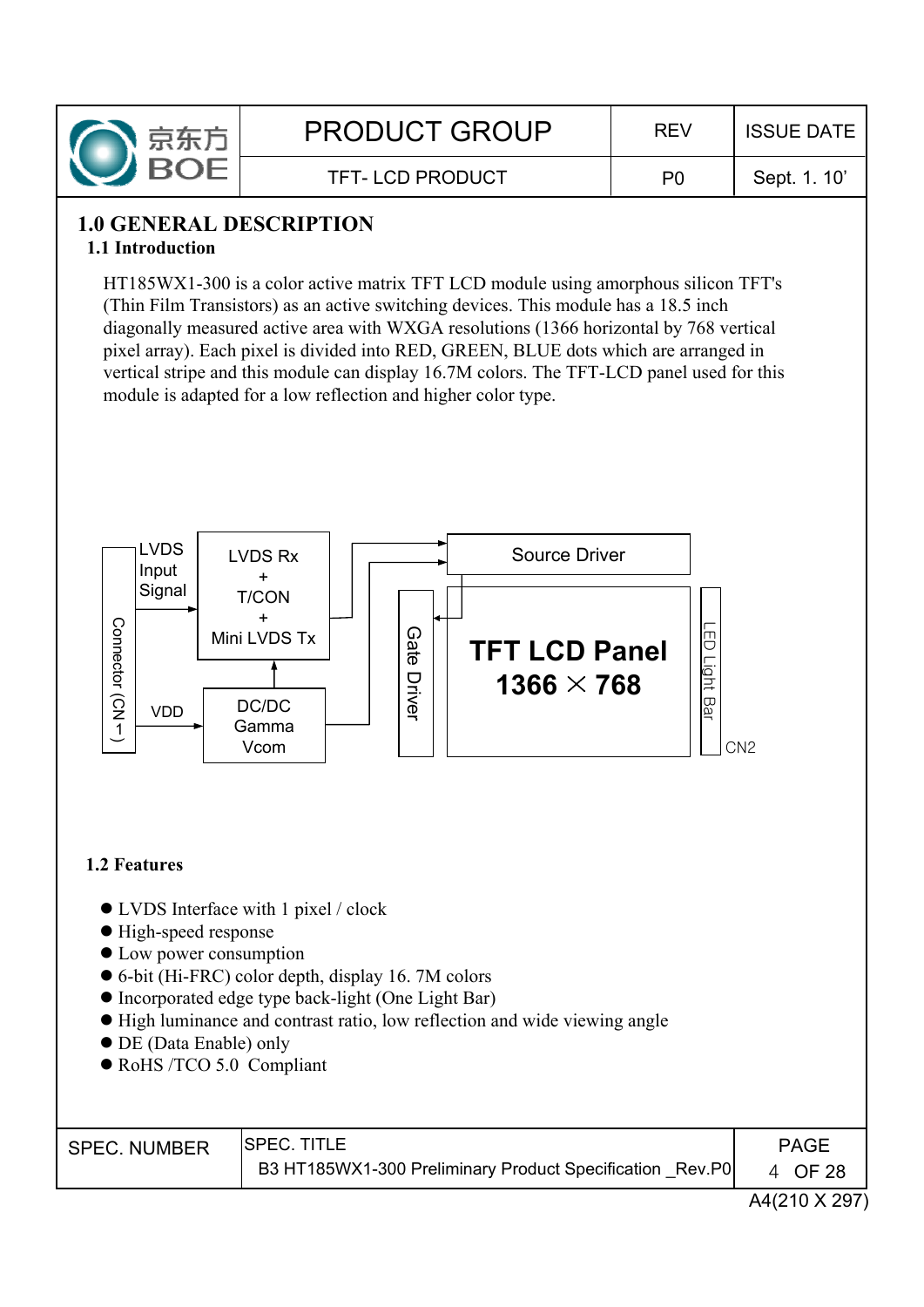

## **1.0 GENERAL DESCRIPTION**

#### **1.1 Introduction**

HT185WX1-300 is a color active matrix TFT LCD module using amorphous silicon TFT's (Thin Film Transistors) as an active switching devices. This module has a 18.5 inch diagonally measured active area with WXGA resolutions (1366 horizontal by 768 vertical pixel array). Each pixel is divided into RED, GREEN, BLUE dots which are arranged in vertical stripe and this module can display 16.7M colors. The TFT-LCD panel used for this module is adapted for a low reflection and higher color type.



#### **1.2 Features**

- LVDS Interface with 1 pixel / clock
- High-speed response
- Low power consumption
- z 6-bit (Hi-FRC) color depth, display 16. 7M colors
- $\bullet$  Incorporated edge type back-light (One Light Bar)
- $\bullet$  High luminance and contrast ratio, low reflection and wide viewing angle
- $\bullet$  DE (Data Enable) only
- $\bullet$  RoHS /TCO 5.0 Compliant

| <b>SPEC. TITLE</b><br><b>PAGE</b><br><b>SPEC. NUMBER</b><br>B3 HT185WX1-300 Preliminary Product Specification _Rev.P0<br>4 OF 28 |
|----------------------------------------------------------------------------------------------------------------------------------|
|----------------------------------------------------------------------------------------------------------------------------------|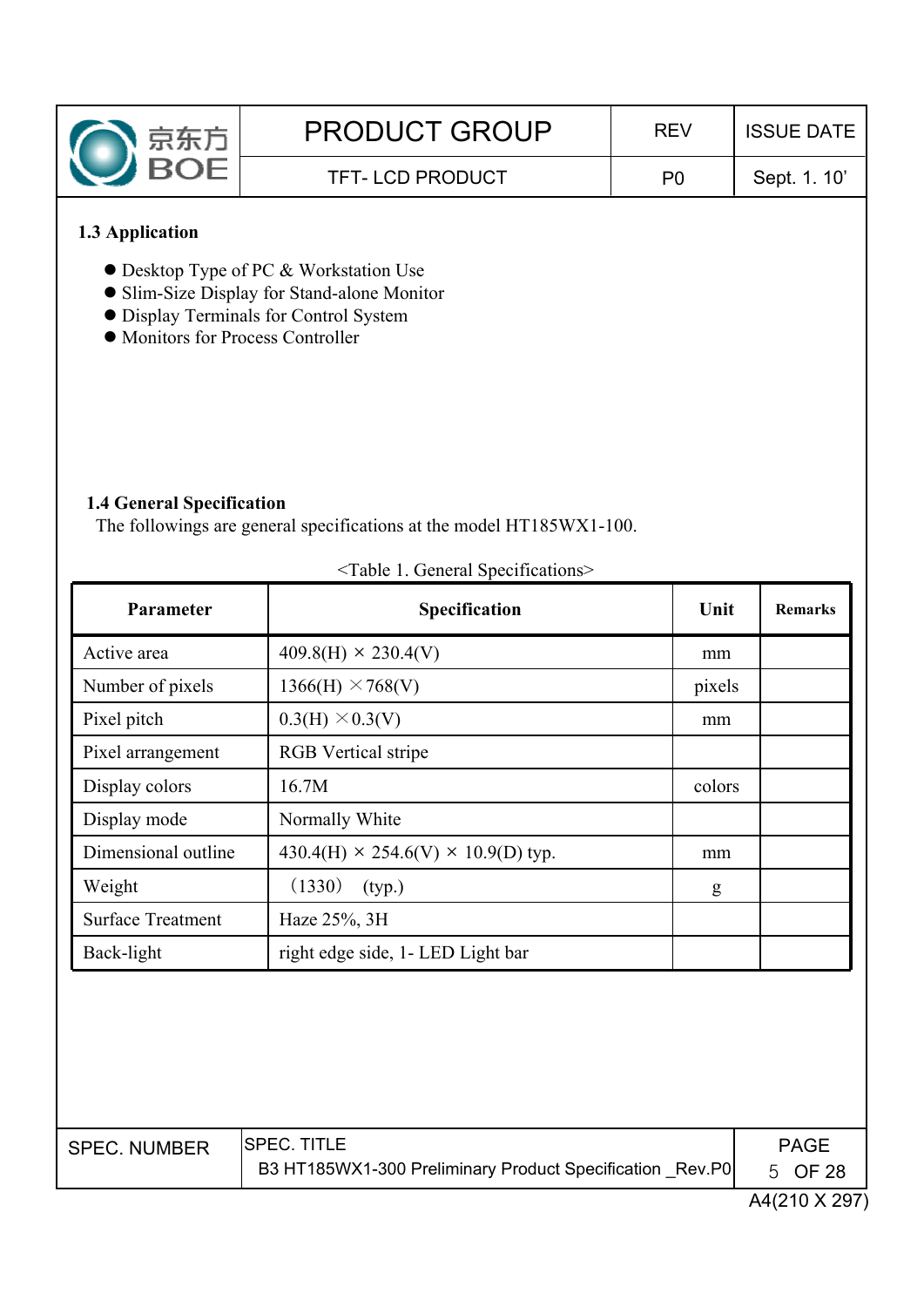

#### **1.3 Application**

- Desktop Type of PC & Workstation Use
- Slim-Size Display for Stand-alone Monitor
- $\bullet$  Display Terminals for Control System
- $\bullet$  Monitors for Process Controller

#### **1.4 General Specification**

The followings are general specifications at the model HT185WX1-100.

| Parameter                | Specification                                             | Unit   | <b>Remarks</b>    |
|--------------------------|-----------------------------------------------------------|--------|-------------------|
| Active area              | $409.8(H) \times 230.4(V)$                                | mm     |                   |
| Number of pixels         | $1366(H) \times 768(V)$                                   | pixels |                   |
| Pixel pitch              | $0.3(H) \times 0.3(V)$                                    | mm     |                   |
| Pixel arrangement        | <b>RGB</b> Vertical stripe                                |        |                   |
| Display colors           | 16.7M                                                     | colors |                   |
| Display mode             | Normally White                                            |        |                   |
| Dimensional outline      | $430.4(H) \times 254.6(V) \times 10.9(D)$ typ.            | mm     |                   |
| Weight                   | (1330)<br>(typ.)                                          | g      |                   |
| <b>Surface Treatment</b> | Haze 25%, 3H                                              |        |                   |
| Back-light               | right edge side, 1- LED Light bar                         |        |                   |
|                          |                                                           |        |                   |
| <b>SPEC. NUMBER</b>      | <b>SPEC. TITLE</b>                                        |        | <b>PAGE</b>       |
|                          | B3 HT185WX1-300 Preliminary Product Specification _Rev.P0 |        | 5<br><b>OF 28</b> |

<Table 1. General Specifications>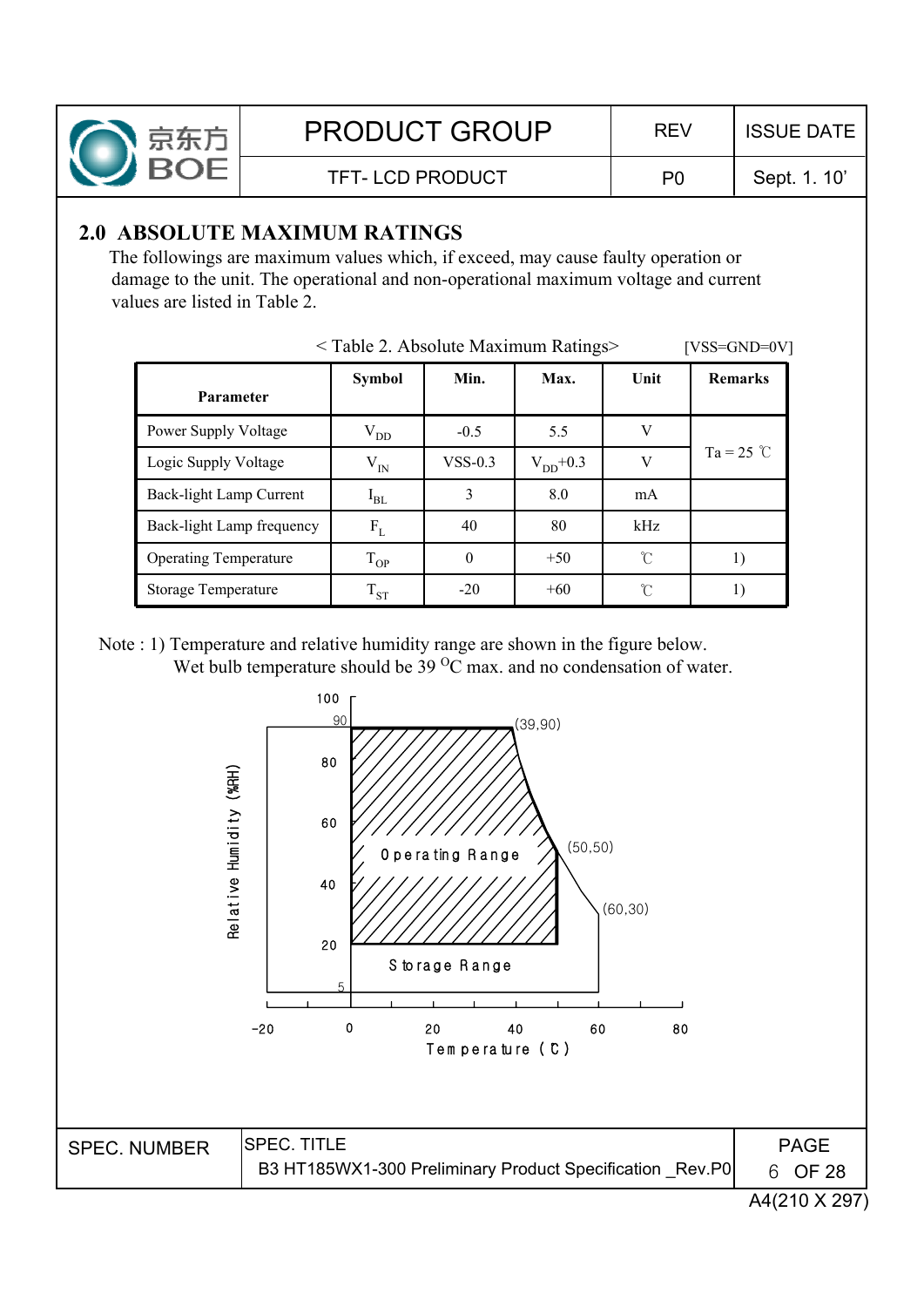

## **2.0 ABSOLUTE MAXIMUM RATINGS**

The followings are maximum values which, if exceed, may cause faulty operation or damage to the unit. The operational and non-operational maximum voltage and current values are listed in Table 2.

| <table 2.="" absolute="" maximum="" ratings=""><br/>[VSS=GND=0V]</table> |                    |           |               |      |                |  |  |  |
|--------------------------------------------------------------------------|--------------------|-----------|---------------|------|----------------|--|--|--|
| <b>Parameter</b>                                                         | <b>Symbol</b>      | Min.      | Max.          | Unit | <b>Remarks</b> |  |  |  |
| Power Supply Voltage                                                     | $\rm V_{DD}^{}$    | $-0.5$    | 5.5           | V    |                |  |  |  |
| Logic Supply Voltage                                                     | ${\rm V}_{\rm IN}$ | $VSS-0.3$ | $V_{DD}$ +0.3 | V    | $Ta = 25$ °C   |  |  |  |
| Back-light Lamp Current                                                  | $I_{BL}$           | 3         | 8.0           | mA   |                |  |  |  |
| Back-light Lamp frequency                                                | $F_L$              | 40        | 80            | kHz  |                |  |  |  |
| <b>Operating Temperature</b>                                             | $\rm T_{OP}$       | 0         | $+50$         | U    | 1)             |  |  |  |
| <b>Storage Temperature</b>                                               | $T_{ST}$           | $-20$     | $+60$         | °C   | 1)             |  |  |  |

Note : 1) Temperature and relative humidity range are shown in the figure below. Wet bulb temperature should be  $39\,^{\circ}\text{C}$  max. and no condensation of water.

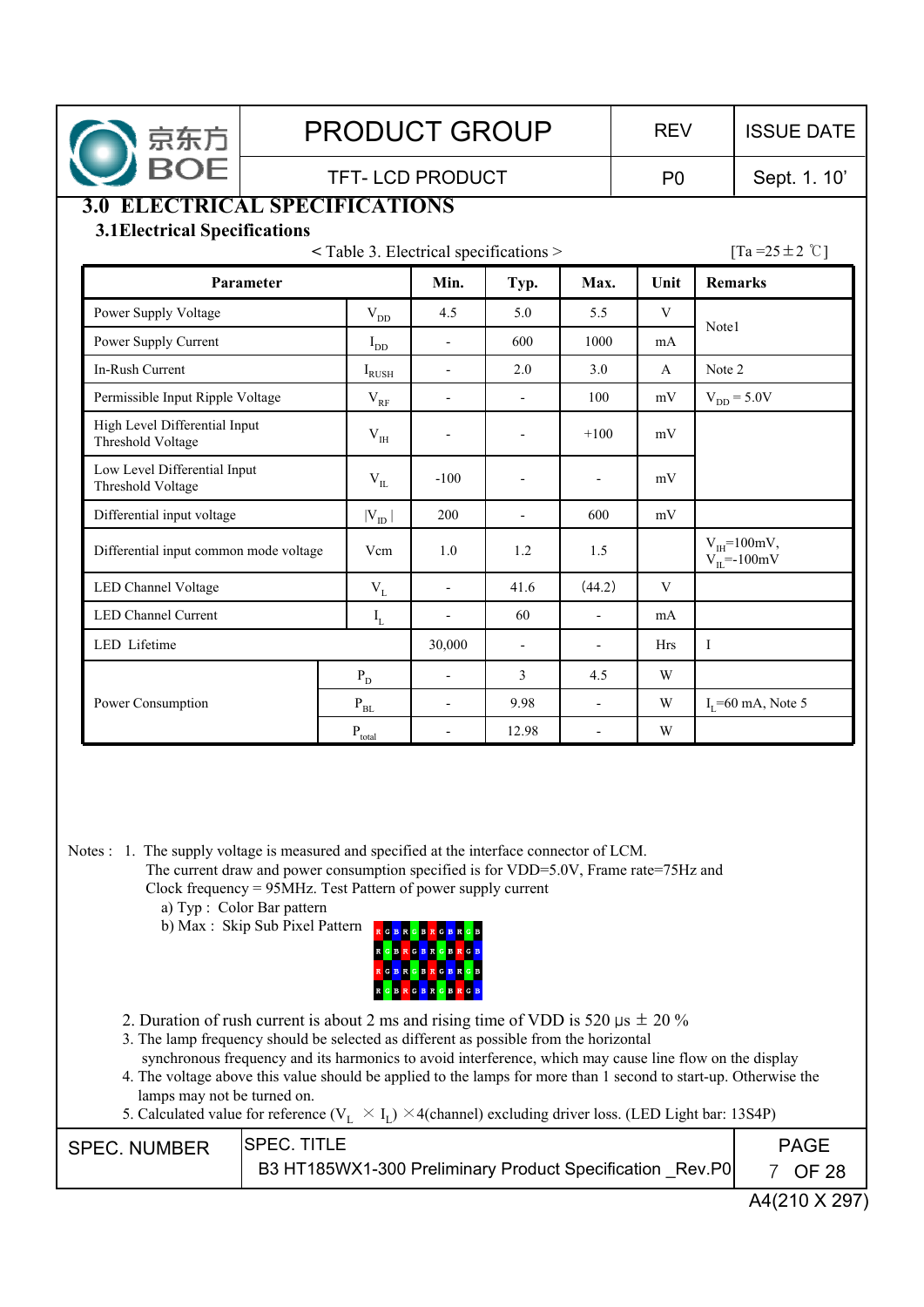| 京东方                                                                          |  | <b>PRODUCT GROUP</b>                                  |                          |                          |                          | <b>REV</b>     | <b>ISSUE DATE</b>                                     |  |
|------------------------------------------------------------------------------|--|-------------------------------------------------------|--------------------------|--------------------------|--------------------------|----------------|-------------------------------------------------------|--|
|                                                                              |  | <b>TFT-LCD PRODUCT</b>                                |                          |                          |                          | P <sub>0</sub> | Sept. 1. 10'                                          |  |
| <b>3.0 ELECTRICAL SPECIFICATIONS</b><br><b>3.1 Electrical Specifications</b> |  | <table 3.="" electrical="" specifications=""></table> |                          |                          |                          |                | $[Ta = 25 \pm 2 \degree C]$                           |  |
| Parameter                                                                    |  |                                                       | Min.                     | Typ.                     | Max.                     | Unit           | <b>Remarks</b>                                        |  |
| Power Supply Voltage                                                         |  | $\rm V_{DD}$                                          | 4.5                      | 5.0                      | 5.5                      | V              |                                                       |  |
| Power Supply Current                                                         |  | $I_{DD}$                                              | $\overline{\phantom{a}}$ | 600                      | 1000                     | mA             | Note1                                                 |  |
| In-Rush Current                                                              |  | $I_{RUSH}$                                            | $\blacksquare$           | 2.0                      | 3.0                      | $\mathbf{A}$   | Note 2                                                |  |
| Permissible Input Ripple Voltage                                             |  | $V_{RF}$                                              | $\blacksquare$           | $\overline{a}$           | 100                      | mV             | $V_{DD} = 5.0V$                                       |  |
| High Level Differential Input<br>Threshold Voltage                           |  | V <sub>IH</sub>                                       |                          | $\overline{a}$           | $+100$                   | mV             |                                                       |  |
| Low Level Differential Input<br>Threshold Voltage                            |  | $V_{IL}$                                              | $-100$                   |                          |                          | mV             |                                                       |  |
| Differential input voltage                                                   |  | $ V_{ID} $                                            | 200                      | $\overline{\phantom{0}}$ | 600                      | mV             |                                                       |  |
| Differential input common mode voltage                                       |  | Vcm                                                   | 1.0                      | 1.2                      | 1.5                      |                | $\rm V_{\rm III}\!\!=\!\!100mV,$<br>$V_{II}$ = -100mV |  |
| LED Channel Voltage                                                          |  | $V_{L}$                                               | $\blacksquare$           | 41.6                     | (44.2)                   | V              |                                                       |  |
| <b>LED Channel Current</b>                                                   |  | $\mathbf{I}_{\rm L}$                                  | $\overline{a}$           | 60                       |                          | mA             |                                                       |  |
| LED Lifetime                                                                 |  |                                                       | 30,000                   | $\overline{\phantom{0}}$ | $\overline{\phantom{a}}$ | <b>Hrs</b>     | $\mathbf{I}$                                          |  |
|                                                                              |  | $P_D$                                                 | $\blacksquare$           | 3                        | 4.5                      | W              |                                                       |  |
| Power Consumption                                                            |  | $\rm P_{BL}$                                          |                          | 9.98                     | $\overline{a}$           | W              | $I_{r}$ =60 mA, Note 5                                |  |
|                                                                              |  | $P_{total}$                                           |                          | 12.98                    | $\overline{a}$           | W              |                                                       |  |

Notes : 1. The supply voltage is measured and specified at the interface connector of LCM.

The current draw and power consumption specified is for VDD=5.0V, Frame rate=75Hz and Clock frequency = 95MHz. Test Pattern of power supply current

a) Typ : Color Bar pattern

b) Max : Skip Sub Pixel Pattern

![](_page_6_Picture_5.jpeg)

2. Duration of rush current is about 2 ms and rising time of VDD is 520  $\mu$ s  $\pm$  20 %

3. The lamp frequency should be selected as different as possible from the horizontal

synchronous frequency and its harmonics to avoid interference, which may cause line flow on the display 4. The voltage above this value should be applied to the lamps for more than 1 second to start-up. Otherwise the lamps may not be turned on.

5. Calculated value for reference ( $V_L \times I_L$ )  $\times$  4(channel) excluding driver loss. (LED Light bar: 13S4P)

| <b>SPEC. NUMBER</b> | <b>SPEC. TITLE</b>                                       | <b>PAGE</b> |
|---------------------|----------------------------------------------------------|-------------|
|                     | B3 HT185WX1-300 Preliminary Product Specification Rev.P0 | OF 28       |
|                     |                                                          |             |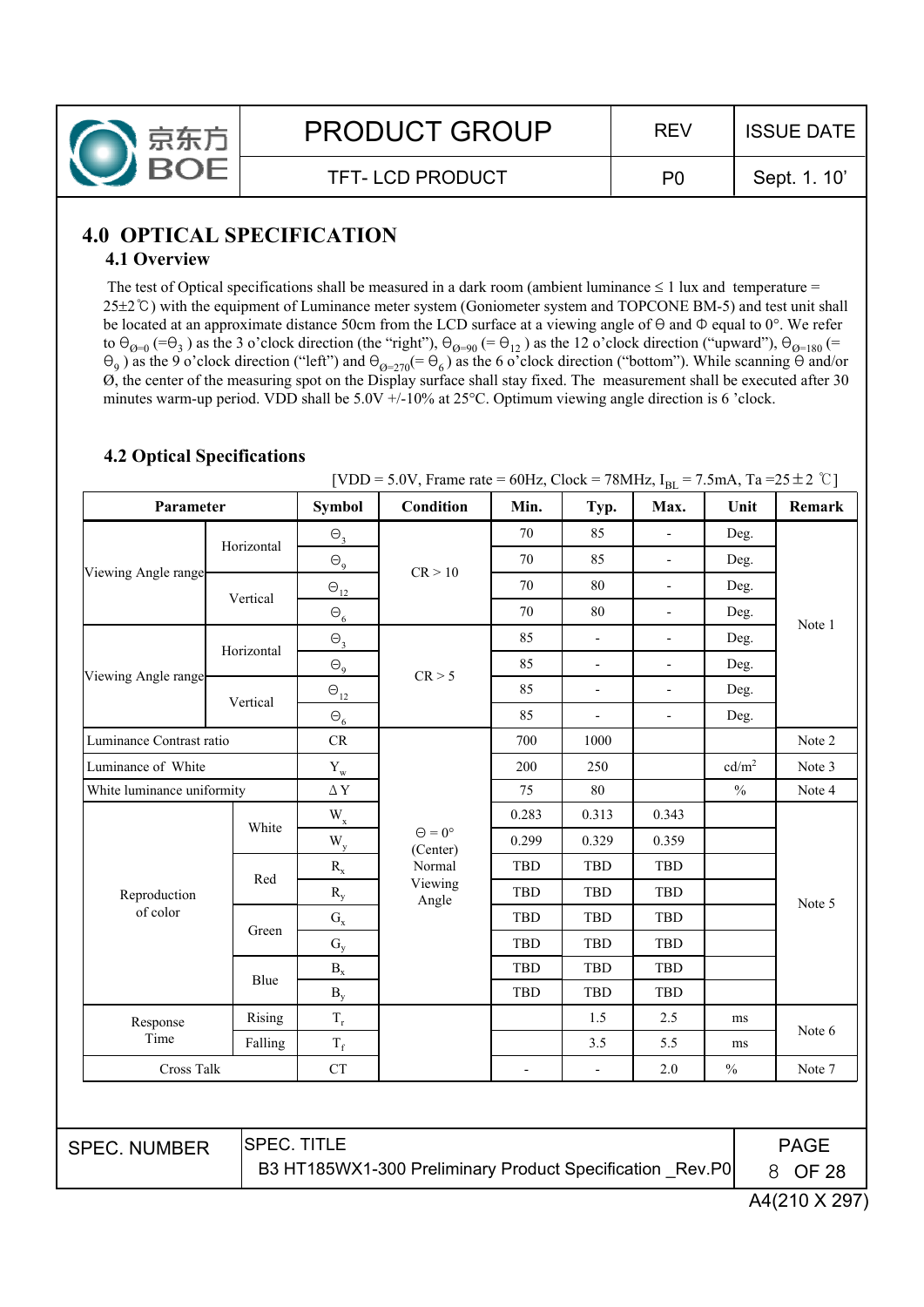![](_page_7_Picture_0.jpeg)

Sept. 1. 10'

## **4.0 OPTICAL SPECIFICATION**

#### **4.1 Overview**

The test of Optical specifications shall be measured in a dark room (ambient luminance  $\leq 1$  lux and temperature =  $25\pm2$ °C) with the equipment of Luminance meter system (Goniometer system and TOPCONE BM-5) and test unit shall be located at an approximate distance 50cm from the LCD surface at a viewing angle of  $\Theta$  and  $\Phi$  equal to 0°. We refer to  $\Theta_{\emptyset=0}$  (= $\Theta_3$ ) as the 3 o'clock direction (the "right"),  $\Theta_{\emptyset=90}$  (=  $\Theta_{12}$ ) as the 12 o'clock direction ("upward"),  $\Theta_{\emptyset=180}$  (=  $\Theta_9$ ) as the 9 o'clock direction ("left") and  $\Theta_{\text{Q=270}}(=\Theta_6)$  as the 6 o'clock direction ("bottom"). While scanning  $\Theta$  and/or Ø, the center of the measuring spot on the Display surface shall stay fixed. The measurement shall be executed after 30 minutes warm-up period. VDD shall be  $5.0V +10\%$  at  $25°C$ . Optimum viewing angle direction is 6 'clock.

| Parameter                  |                    | <b>Symbol</b>             | Condition                                                | Min.           | Typ.                     | Max.                     | Unit              | Remark            |
|----------------------------|--------------------|---------------------------|----------------------------------------------------------|----------------|--------------------------|--------------------------|-------------------|-------------------|
|                            |                    | $\Theta_{3}$              |                                                          | 70             | 85                       |                          | Deg.              |                   |
|                            | Horizontal         | $\Theta$ <sub>9</sub>     | CR > 10                                                  | 70             | 85                       | $\overline{\phantom{a}}$ | Deg.              |                   |
| Viewing Angle range        |                    | $\Theta_{\underline{12}}$ |                                                          | 70             | 80                       | $\overline{\phantom{0}}$ | Deg.              |                   |
|                            | Vertical           | $\Theta_{\underline{6}}$  |                                                          | 70             | 80                       | $\frac{1}{2}$            | Deg.              |                   |
|                            | Horizontal         | $\Theta_3$                |                                                          | 85             | $\blacksquare$           | $\overline{\phantom{a}}$ | Deg.              | Note 1            |
|                            |                    | $\Theta_9$                | CR > 5                                                   | 85             | $\Box$                   | $\overline{\phantom{m}}$ | Deg.              |                   |
| Viewing Angle range        | Vertical           | $\Theta_{\underline{12}}$ |                                                          | 85             | $\Box$                   | $\blacksquare$           | Deg.              |                   |
|                            |                    | $\Theta_6$                |                                                          | 85             |                          | $\frac{1}{2}$            | Deg.              |                   |
| Luminance Contrast ratio   |                    | CR                        |                                                          | 700            | 1000                     |                          |                   | Note 2            |
| Luminance of White         |                    | $\mathbf{Y}_{\mathrm{w}}$ |                                                          | 200            | 250                      |                          | cd/m <sup>2</sup> | Note 3            |
| White luminance uniformity |                    | $\Delta$ Y                |                                                          | 75             | 80                       |                          | $\frac{0}{0}$     | Note 4            |
|                            |                    | $W_{x}$                   |                                                          | 0.283          | 0.313                    | 0.343                    |                   | Note 5            |
|                            | White              | $\mathbf{W}_{\mathbf{y}}$ | $\Theta = 0^{\circ}$<br>(Center)<br>Normal               | 0.299          | 0.329                    | 0.359                    |                   |                   |
|                            | Red<br>Green       | $\rm R_x$                 |                                                          | TBD            | TBD                      | TBD                      |                   |                   |
| Reproduction               |                    | $R_{y}$                   | Viewing<br>Angle                                         | TBD            | <b>TBD</b>               | TBD                      |                   |                   |
| of color                   |                    | $\mathbf{G}_{\mathbf{x}}$ |                                                          | TBD            | <b>TBD</b>               | <b>TBD</b>               |                   |                   |
|                            |                    | $\mathbf{G}_{\mathbf{y}}$ |                                                          | TBD            | TBD                      | TBD                      |                   |                   |
|                            |                    | $\mathbf{B}_{\mathrm{x}}$ |                                                          | TBD            | <b>TBD</b>               | <b>TBD</b>               |                   |                   |
|                            | Blue               | $B_y$                     |                                                          | <b>TBD</b>     | <b>TBD</b>               | <b>TBD</b>               |                   |                   |
| Response                   | Rising             | $T_r$                     |                                                          |                | 1.5                      | 2.5                      | ms                | Note 6            |
| Time                       | Falling            | $\rm T_{f}$               |                                                          |                | 3.5                      | 5.5                      | ms                |                   |
| Cross Talk                 |                    | CT                        |                                                          | $\overline{a}$ | $\overline{\phantom{a}}$ | $2.0$                    | $\frac{0}{0}$     | Note 7            |
|                            |                    |                           |                                                          |                |                          |                          |                   |                   |
| <b>SPEC. NUMBER</b>        | <b>SPEC. TITLE</b> |                           |                                                          |                |                          |                          |                   | <b>PAGE</b>       |
|                            |                    |                           | B3 HT185WX1-300 Preliminary Product Specification Rev.P0 |                |                          |                          |                   | 8<br><b>OF 28</b> |

#### **4.2 Optical Specifications**

[VDD = 5.0V, Frame rate = 60Hz, Clock = 78MHz,  $I_{BL}$  = 7.5mA, Ta = 25 ± 2 °C]

A4(210 X 297)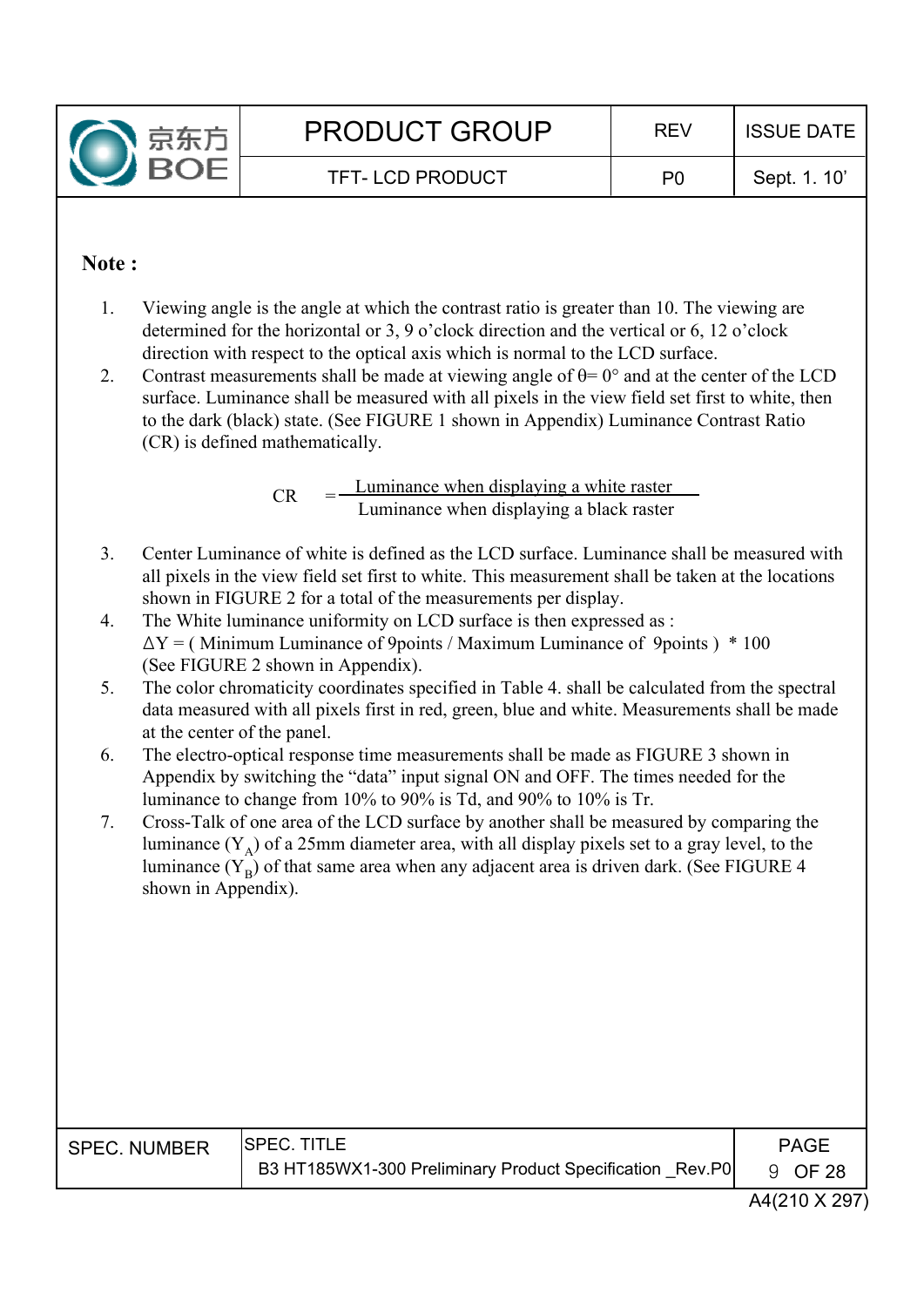![](_page_8_Picture_0.jpeg)

### **Note :**

- 1. Viewing angle is the angle at which the contrast ratio is greater than 10. The viewing are determined for the horizontal or 3, 9 o'clock direction and the vertical or 6, 12 o'clock direction with respect to the optical axis which is normal to the LCD surface.
- 2. Contrast measurements shall be made at viewing angle of  $\theta$ = 0° and at the center of the LCD surface. Luminance shall be measured with all pixels in the view field set first to white, then to the dark (black) state. (See FIGURE 1 shown in Appendix) Luminance Contrast Ratio (CR) is defined mathematically.

Luminance when displaying a white raster Luminance when displaying a black raster  $CR$ 

- 3. Center Luminance of white is defined as the LCD surface. Luminance shall be measured with all pixels in the view field set first to white. This measurement shall be taken at the locations shown in FIGURE 2 for a total of the measurements per display.
- 4. The White luminance uniformity on LCD surface is then expressed as :  $\Delta Y =$  (Minimum Luminance of 9points / Maximum Luminance of 9points ) \* 100 (See FIGURE 2 shown in Appendix).
- 5. The color chromaticity coordinates specified in Table 4. shall be calculated from the spectral data measured with all pixels first in red, green, blue and white. Measurements shall be made at the center of the panel.
- 6. The electro-optical response time measurements shall be made as FIGURE 3 shown in Appendix by switching the "data" input signal ON and OFF. The times needed for the luminance to change from 10% to 90% is Td, and 90% to 10% is Tr.
- 7. Cross-Talk of one area of the LCD surface by another shall be measured by comparing the luminance  $(Y_A)$  of a 25mm diameter area, with all display pixels set to a gray level, to the luminance  $(Y_B)$  of that same area when any adjacent area is driven dark. (See FIGURE 4 shown in Appendix).

| <b>SPEC. NUMBER</b> | <b>SPEC. TITLE</b><br>B3 HT185WX1-300 Preliminary Product Specification Rev.P0 | <b>PAGF</b><br>9 OF 28 |
|---------------------|--------------------------------------------------------------------------------|------------------------|
|                     |                                                                                |                        |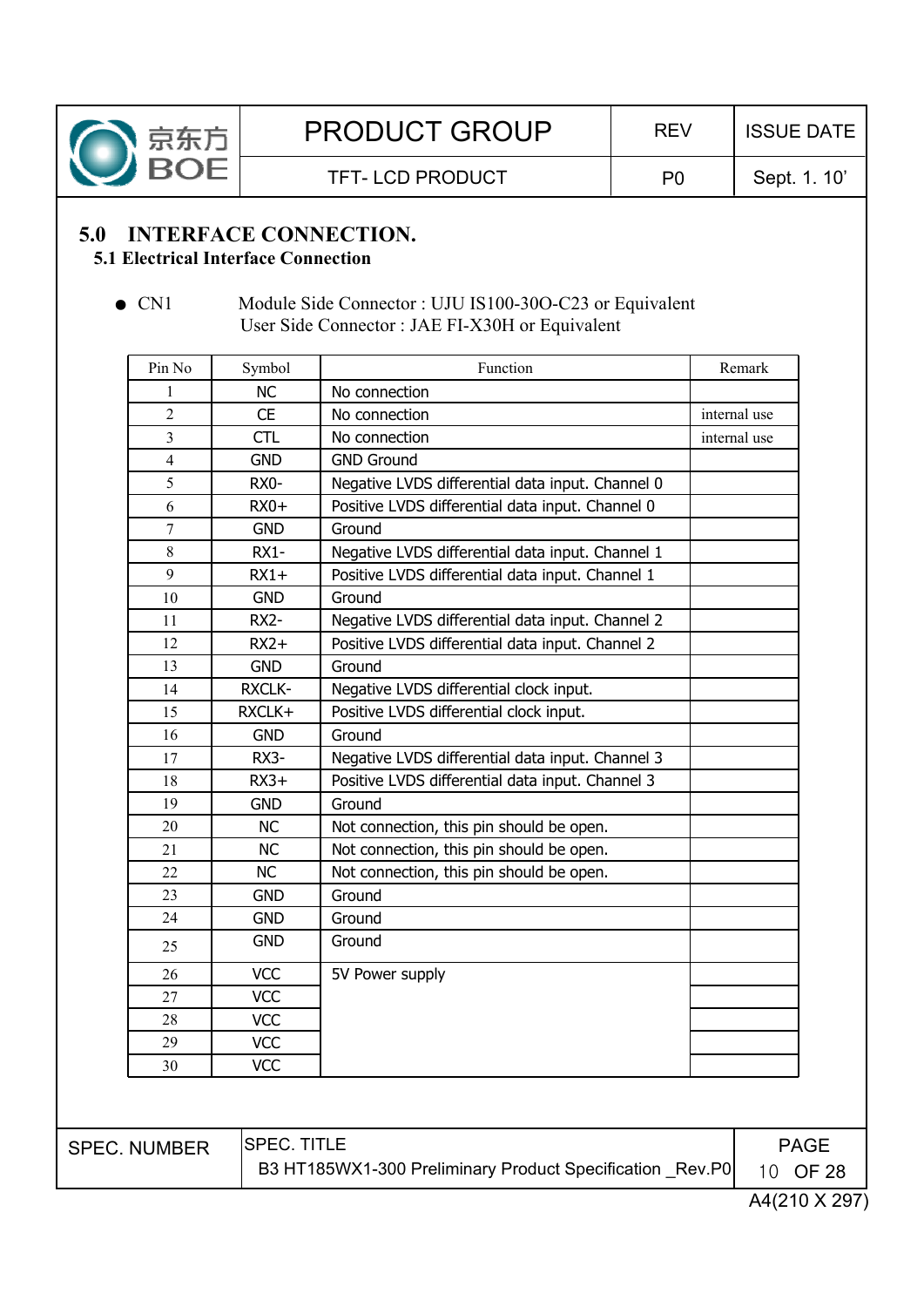![](_page_9_Picture_0.jpeg)

Sept. 1. 10'

## **5.0 INTERFACE CONNECTION.**

#### **5.1 Electrical Interface Connection**

#### CN1 Module Side Connector : UJU IS100-30O-C23 or Equivalent User Side Connector : JAE FI-X30H or Equivalent

| Pin No                  | Symbol            | Function                                         | Remark       |
|-------------------------|-------------------|--------------------------------------------------|--------------|
| 1                       | <b>NC</b>         | No connection                                    |              |
| $\overline{2}$          | <b>CE</b>         | No connection                                    | internal use |
| 3                       | <b>CTL</b>        | No connection                                    | internal use |
| $\overline{\mathbf{4}}$ | <b>GND</b>        | <b>GND Ground</b>                                |              |
| 5                       | RX <sub>0</sub> - | Negative LVDS differential data input. Channel 0 |              |
| 6                       | $RX0+$            | Positive LVDS differential data input. Channel 0 |              |
| $\overline{7}$          | <b>GND</b>        | Ground                                           |              |
| 8                       | $RX1-$            | Negative LVDS differential data input. Channel 1 |              |
| 9                       | $RX1+$            | Positive LVDS differential data input. Channel 1 |              |
| 10                      | <b>GND</b>        | Ground                                           |              |
| 11                      | $RX2-$            | Negative LVDS differential data input. Channel 2 |              |
| 12                      | $RX2+$            | Positive LVDS differential data input. Channel 2 |              |
| 13                      | <b>GND</b>        | Ground                                           |              |
| 14                      | <b>RXCLK-</b>     | Negative LVDS differential clock input.          |              |
| 15                      | RXCLK+            | Positive LVDS differential clock input.          |              |
| 16                      | <b>GND</b>        | Ground                                           |              |
| 17                      | RX3-              | Negative LVDS differential data input. Channel 3 |              |
| 18                      | $RX3+$            | Positive LVDS differential data input. Channel 3 |              |
| 19                      | <b>GND</b>        | Ground                                           |              |
| 20                      | <b>NC</b>         | Not connection, this pin should be open.         |              |
| 21                      | <b>NC</b>         | Not connection, this pin should be open.         |              |
| 22                      | <b>NC</b>         | Not connection, this pin should be open.         |              |
| 23                      | <b>GND</b>        | Ground                                           |              |
| 24                      | <b>GND</b>        | Ground                                           |              |
| 25                      | <b>GND</b>        | Ground                                           |              |
| 26                      | <b>VCC</b>        | 5V Power supply                                  |              |
| 27                      | <b>VCC</b>        |                                                  |              |
| 28                      | <b>VCC</b>        |                                                  |              |
| 29                      | <b>VCC</b>        |                                                  |              |
| 30                      | <b>VCC</b>        |                                                  |              |

PAGE 10 OF 28 SPEC. NUMBER SPEC. TITLE B3 HT185WX1-300 Preliminary Product Specification \_Rev.P0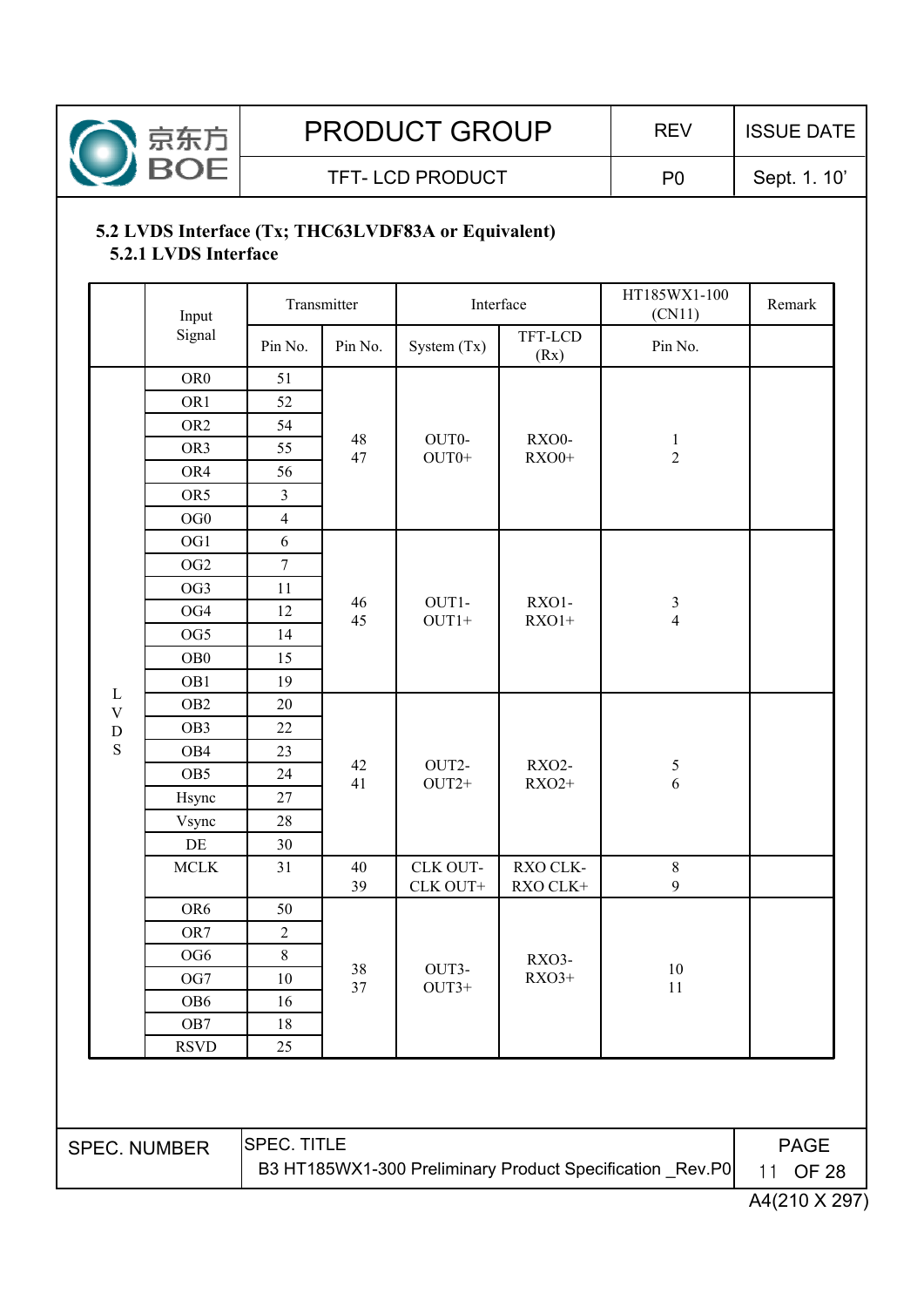![](_page_10_Picture_0.jpeg)

TFT-LCD PRODUCT P0

Sept. 1. 10'

#### **5.2 LVDS Interface (Tx; THC63LVDF83A or Equivalent) 5.2.1 LVDS Interface**

|                                       | Input           |                         | Transmitter                      |                  | Interface            | HT185WX1-100<br>(CN11)         | Remark |
|---------------------------------------|-----------------|-------------------------|----------------------------------|------------------|----------------------|--------------------------------|--------|
|                                       | Signal          | Pin No.                 | Pin No.                          | System (Tx)      | TFT-LCD<br>(Rx)      | Pin No.                        |        |
|                                       | OR <sub>0</sub> | 51                      |                                  |                  |                      |                                |        |
|                                       | OR1             | 52                      |                                  |                  |                      |                                |        |
|                                       | OR <sub>2</sub> | 54                      |                                  |                  |                      |                                |        |
|                                       | OR3             | 55                      | 48<br>47                         | OUT0-<br>$OUT0+$ | RXO0-<br>$RXO0+$     | $\mathbf{1}$<br>$\overline{2}$ |        |
|                                       | OR4             | 56                      |                                  |                  |                      |                                |        |
|                                       | OR <sub>5</sub> | $\overline{\mathbf{3}}$ |                                  |                  |                      |                                |        |
|                                       | OG0             | $\overline{4}$          |                                  |                  |                      |                                |        |
|                                       | OG1             | 6                       |                                  |                  |                      |                                |        |
|                                       | OG <sub>2</sub> | $\overline{7}$          |                                  |                  |                      |                                |        |
|                                       | OG3             | 11                      |                                  |                  |                      |                                |        |
|                                       | OG4             | 12                      | 46<br>45                         | OUT1-<br>$OUT1+$ | RXO1-<br>$RXO1+$     | $\frac{3}{4}$                  |        |
|                                       | OG5             | 14                      |                                  |                  |                      |                                |        |
|                                       | OB0             | 15                      |                                  |                  |                      |                                |        |
|                                       | OB1             | 19                      |                                  |                  |                      |                                |        |
| $\Gamma$<br>$\ensuremath{\mathbf{V}}$ | OB <sub>2</sub> | 20                      |                                  |                  |                      |                                |        |
| $\mathbf D$                           | OB <sub>3</sub> | 22                      | 42<br>41                         |                  |                      |                                |        |
| S                                     | OB <sub>4</sub> | 23                      |                                  |                  |                      |                                |        |
|                                       | OB <sub>5</sub> | 24                      |                                  | OUT2-<br>$OUT2+$ | RXO2-<br>$RXO2+$     | 5<br>6                         |        |
|                                       | Hsync           | 27                      |                                  |                  |                      |                                |        |
|                                       | Vsync           | 28                      |                                  |                  |                      |                                |        |
|                                       | $\rm DE$        | 30                      |                                  |                  |                      |                                |        |
|                                       | <b>MCLK</b>     | 31                      | CLK OUT-<br>40<br>39<br>CLK OUT+ |                  | RXO CLK-<br>RXO CLK+ | $8\,$<br>9                     |        |
|                                       | OR <sub>6</sub> | 50                      |                                  |                  |                      |                                |        |
|                                       | OR7             | $\overline{2}$          |                                  |                  |                      |                                |        |
|                                       | OG <sub>6</sub> | 8                       |                                  | OUT3-            | RXO3-                |                                |        |
|                                       | $\rm OG7$       | $10\,$                  | 38<br>37                         | $OUT3+$          | RXO3+                | $10\,$<br>11                   |        |
|                                       | OB <sub>6</sub> | 16                      |                                  |                  |                      |                                |        |
|                                       | OB7             | 18                      |                                  |                  |                      |                                |        |
|                                       | <b>RSVD</b>     | 25                      |                                  |                  |                      |                                |        |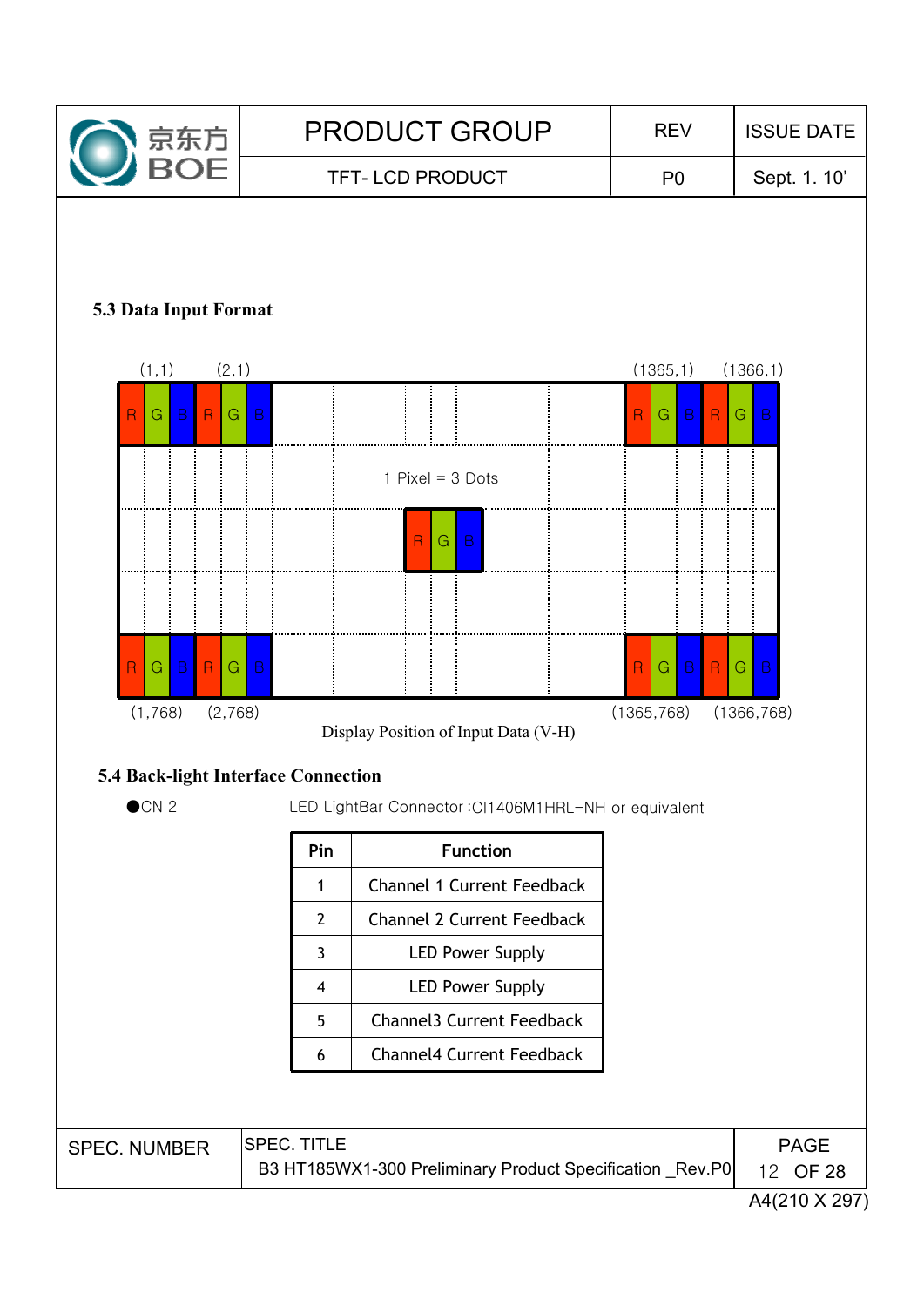![](_page_11_Figure_0.jpeg)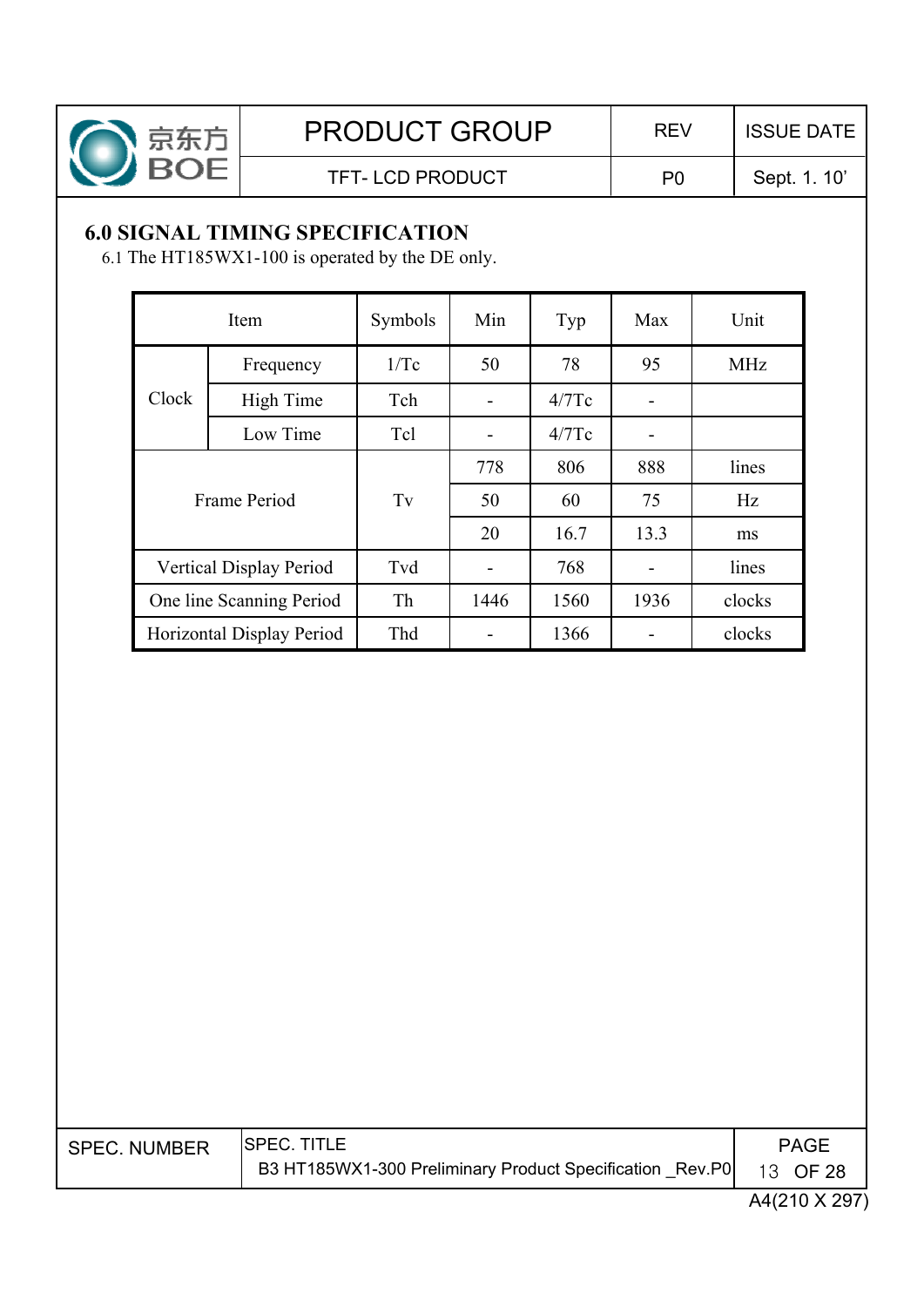![](_page_12_Picture_0.jpeg)

TFT-LCD PRODUCT P0

Sept. 1. 10'

## **6.0 SIGNAL TIMING SPECIFICATION**

6.1 The HT185WX1-100 is operated by the DE only.

| Item                           |              | Symbols | Min  | Typ   | Max  | Unit       |
|--------------------------------|--------------|---------|------|-------|------|------------|
|                                | Frequency    | 1/Tc    | 50   | 78    | 95   | <b>MHz</b> |
| Clock                          | High Time    | Tch     |      | 4/7Tc |      |            |
|                                | Low Time     | Tcl     |      | 4/7Tc |      |            |
|                                |              |         | 778  | 806   | 888  | lines      |
|                                | Frame Period | Tv      | 50   | 60    | 75   | Hz         |
|                                |              |         | 20   | 16.7  | 13.3 | ms         |
| <b>Vertical Display Period</b> |              | Tvd     |      | 768   |      | lines      |
| One line Scanning Period       |              | Th      | 1446 | 1560  | 1936 | clocks     |
| Horizontal Display Period      |              | Thd     |      | 1366  |      | clocks     |

| <b>SPEC. NUMBER</b> | <b>SPEC. TITLE</b>                                                  |  |  |  |  |  |  |  |
|---------------------|---------------------------------------------------------------------|--|--|--|--|--|--|--|
|                     | B3 HT185WX1-300 Preliminary Product Specification Rev.P0   13 OF 28 |  |  |  |  |  |  |  |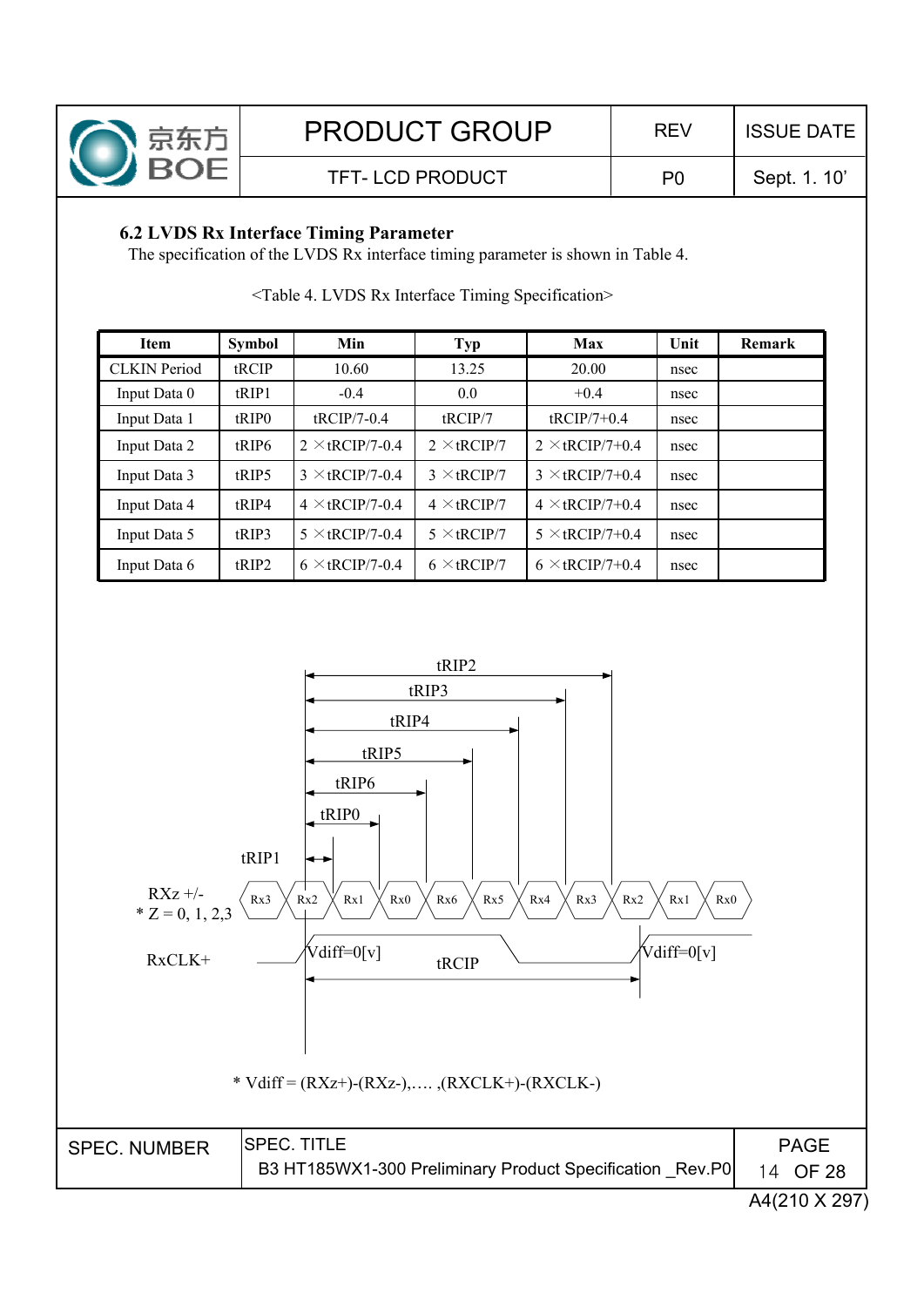![](_page_13_Picture_0.jpeg)

#### **6.2 LVDS Rx Interface Timing Parameter**

The specification of the LVDS Rx interface timing parameter is shown in Table 4.

| <b>Item</b>         | <b>Symbol</b>     | Min                    | <b>Typ</b>         | Max                    | Unit | Remark |
|---------------------|-------------------|------------------------|--------------------|------------------------|------|--------|
| <b>CLKIN</b> Period | tRCIP             | 10.60                  | 13.25              | 20.00                  | nsec |        |
| Input Data 0        | tRIP1             | $-0.4$                 | 0.0                | $+0.4$                 | nsec |        |
| Input Data 1        | tRIP <sub>0</sub> | $tRCIP/7-0.4$          | tRCIP/7            | $tRCIP/7+0.4$          | nsec |        |
| Input Data 2        | tRIP <sub>6</sub> | $2 \times$ tRCIP/7-0.4 | $2 \times$ tRCIP/7 | $2 \times$ tRCIP/7+0.4 | nsec |        |
| Input Data 3        | tRIP5             | $3 \times$ tRCIP/7-0.4 | $3 \times$ tRCIP/7 | $3 \times$ tRCIP/7+0.4 | nsec |        |
| Input Data 4        | tRIP4             | $4 \times$ tRCIP/7-0.4 | $4 \times$ tRCIP/7 | $4 \times$ tRCIP/7+0.4 | nsec |        |
| Input Data 5        | tRIP3             | $5 \times$ tRCIP/7-0.4 | $5 \times$ tRCIP/7 | $5 \times$ tRCIP/7+0.4 | nsec |        |
| Input Data 6        | tRIP2             | $6 \times$ tRCIP/7-0.4 | $6 \times$ tRCIP/7 | $6 \times$ tRCIP/7+0.4 | nsec |        |

<Table 4. LVDS Rx Interface Timing Specification>

![](_page_13_Figure_5.jpeg)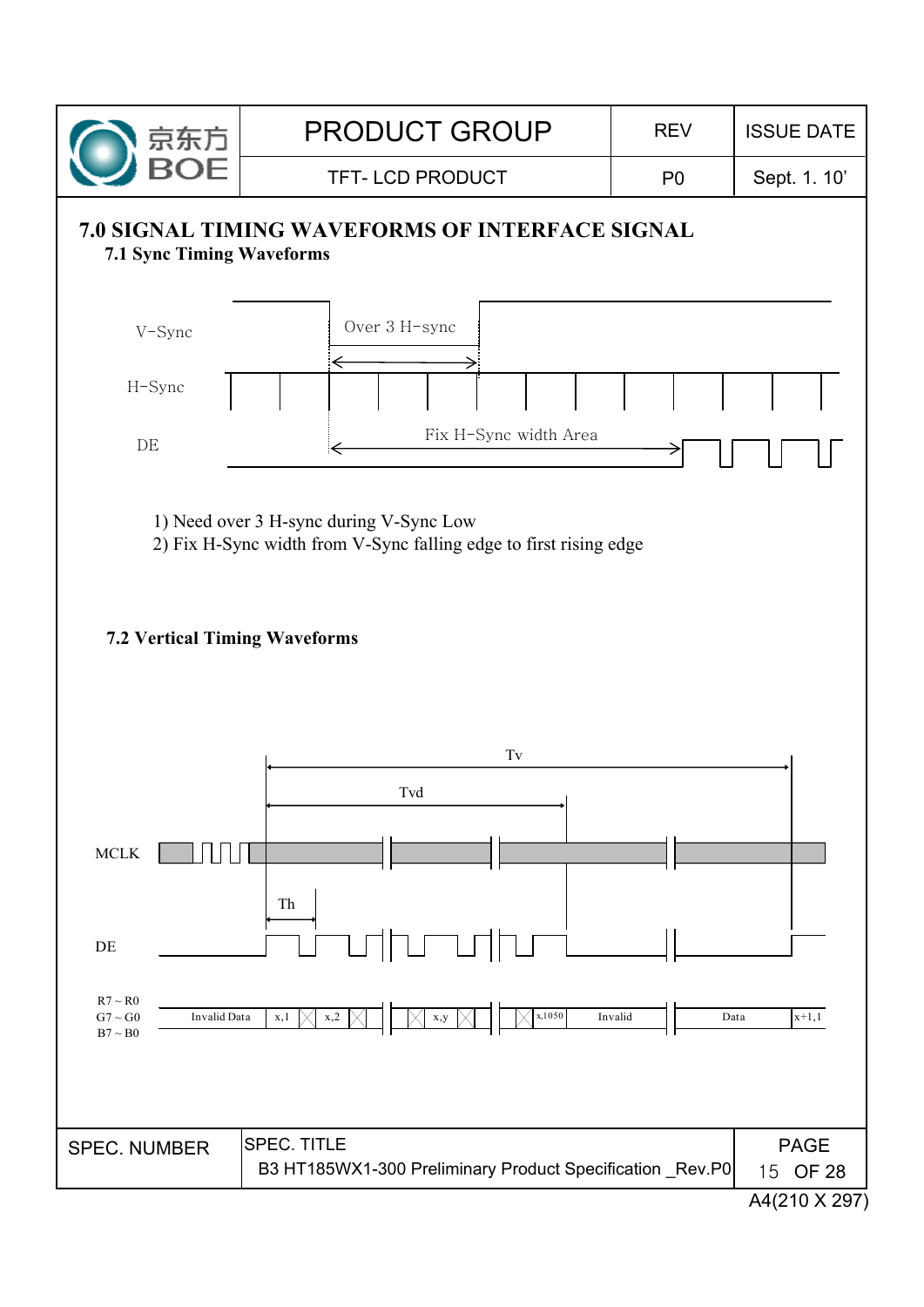![](_page_14_Figure_0.jpeg)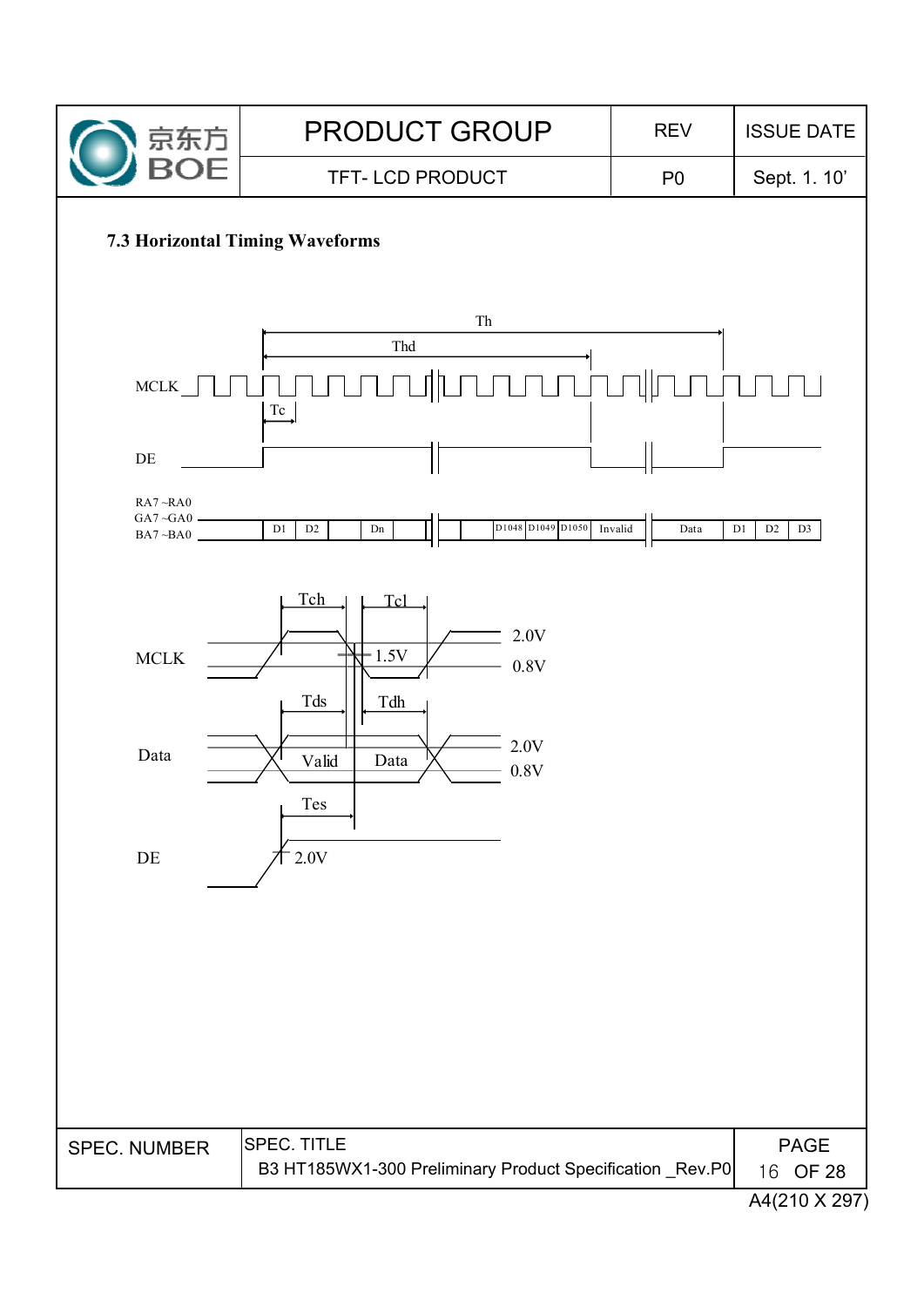![](_page_15_Figure_0.jpeg)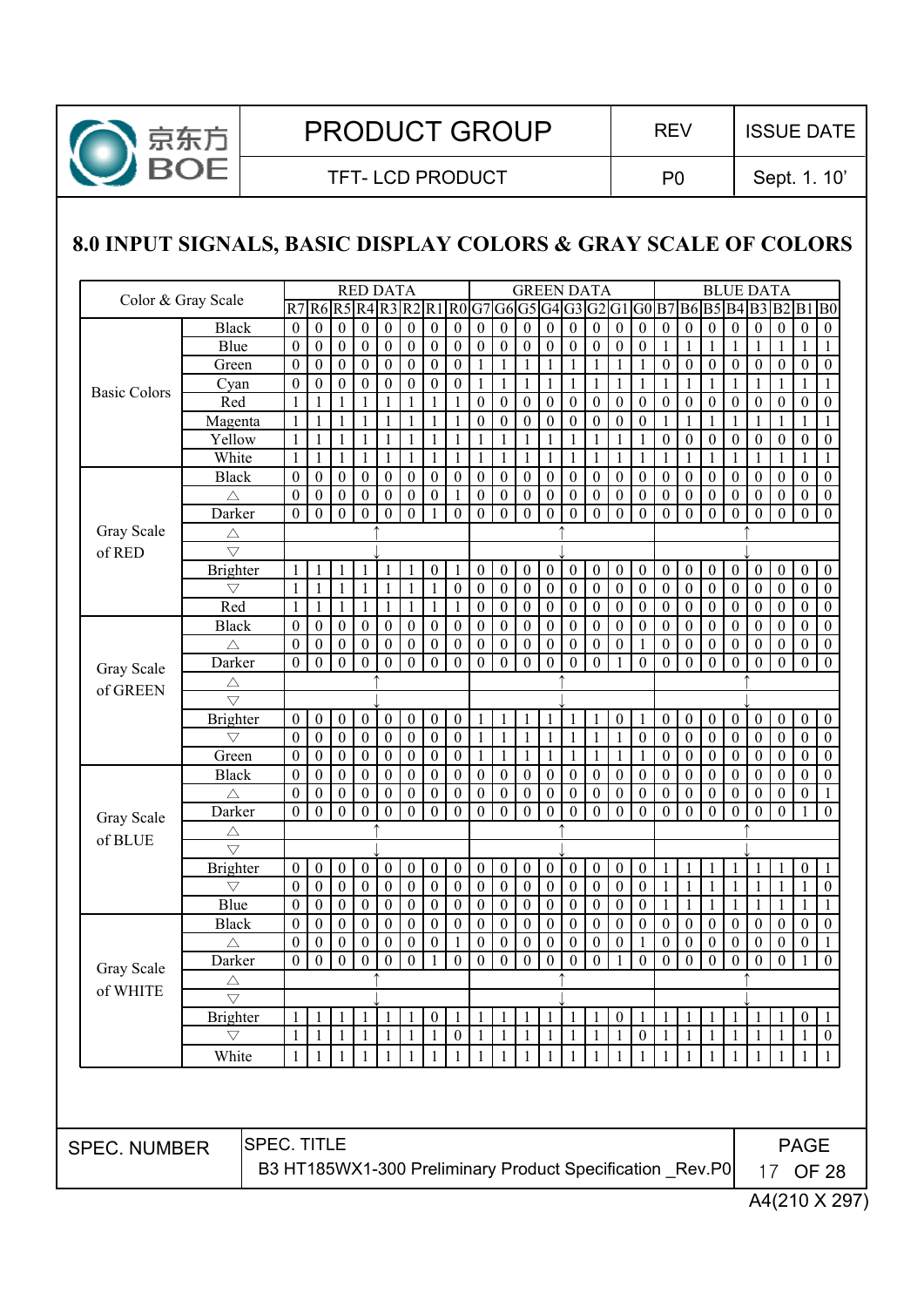![](_page_16_Picture_0.jpeg)

Sept. 1. 10'

## **8.0 INPUT SIGNALS, BASIC DISPLAY COLORS & GRAY SCALE OF COLORS**

| Color & Gray Scale  |                    |                                                          |                  |                  | <b>RED DATA</b>  |                  |                   |                  |                  | <b>GREEN DATA</b> |                  |                  |                  |                  | <b>BLUE DATA</b> |                  |                  |                  |                  |                  |                  |                            |                  |                  |                  |
|---------------------|--------------------|----------------------------------------------------------|------------------|------------------|------------------|------------------|-------------------|------------------|------------------|-------------------|------------------|------------------|------------------|------------------|------------------|------------------|------------------|------------------|------------------|------------------|------------------|----------------------------|------------------|------------------|------------------|
|                     |                    | R7                                                       |                  |                  |                  |                  | R6 R5 R4 R3 R2 R1 |                  | R <sub>0</sub>   | G7                |                  |                  |                  | G6 G5 G4 G3      | G2 G1            |                  |                  |                  |                  |                  |                  | G0 B7 B6 B5 B4 B3 B2 B1 B0 |                  |                  |                  |
|                     | <b>Black</b>       | $\boldsymbol{0}$                                         | $\boldsymbol{0}$ | $\boldsymbol{0}$ | 0                | $\boldsymbol{0}$ | $\boldsymbol{0}$  | $\boldsymbol{0}$ | $\boldsymbol{0}$ | $\boldsymbol{0}$  | $\bf{0}$         | 0                | $\theta$         | $\boldsymbol{0}$ | $\boldsymbol{0}$ | $\boldsymbol{0}$ | $\boldsymbol{0}$ | $\boldsymbol{0}$ | $\boldsymbol{0}$ | $\boldsymbol{0}$ | $\boldsymbol{0}$ | $\boldsymbol{0}$           | 0                | $\boldsymbol{0}$ | $\mathbf{0}$     |
|                     | Blue               | $\boldsymbol{0}$                                         | $\boldsymbol{0}$ | $\theta$         | $\theta$         | $\boldsymbol{0}$ | $\overline{0}$    | $\boldsymbol{0}$ | $\boldsymbol{0}$ | $\theta$          | $\theta$         | $\theta$         | $\theta$         | 0                | $\boldsymbol{0}$ | $\theta$         | $\mathbf{0}$     | 1                | 1                | 1                | $\mathbf{1}$     | $\mathbf 1$                | 1                | 1                | 1                |
|                     | Green              | $\theta$                                                 | $\boldsymbol{0}$ | $\theta$         | $\theta$         | $\boldsymbol{0}$ | $\overline{0}$    | $\boldsymbol{0}$ | $\boldsymbol{0}$ | -1                | 1                | 1                | 1                | 1                | $\mathbf{1}$     | -1               | -1               | $\mathbf{0}$     | $\mathbf{0}$     | $\boldsymbol{0}$ | $\boldsymbol{0}$ | $\theta$                   | $\theta$         | $\theta$         | $\boldsymbol{0}$ |
|                     | Cyan               | $\theta$                                                 | $\theta$         | $\theta$         | $\theta$         | $\mathbf{0}$     | $\overline{0}$    | $\boldsymbol{0}$ | $\boldsymbol{0}$ | $\mathbf{1}$      | $\mathbf{1}$     | $\mathbf{1}$     | 1                | $\mathbf{1}$     | $\mathbf{1}$     | $\mathbf{1}$     | $\mathbf{1}$     | 1                | 1                | 1                | 1                | -1                         | 1                | 1                | 1                |
| <b>Basic Colors</b> | Red                | 1                                                        | 1                | 1                | 1                | 1                | 1                 | 1                | 1                | $\theta$          | $\overline{0}$   | $\theta$         | $\boldsymbol{0}$ | $\boldsymbol{0}$ | $\boldsymbol{0}$ | $\theta$         | $\mathbf{0}$     | $\boldsymbol{0}$ | $\boldsymbol{0}$ | $\boldsymbol{0}$ | $\boldsymbol{0}$ | $\theta$                   | $\theta$         | $\mathbf{0}$     | $\boldsymbol{0}$ |
|                     | Magenta            | $\mathbf{1}$                                             | $\mathbf{1}$     | $\mathbf{1}$     | 1                | 1                | 1                 | 1                | $\mathbf{1}$     | $\theta$          | $\theta$         | $\theta$         | $\boldsymbol{0}$ | $\boldsymbol{0}$ | $\boldsymbol{0}$ | $\theta$         | $\mathbf{0}$     | 1                | 1                | 1                | 1                | -1                         | 1                | 1                | $\mathbf{1}$     |
|                     | Yellow             | $\mathbf{1}$                                             | $\mathbf{1}$     | $\mathbf{1}$     | 1                | 1                | 1                 | 1                | $\mathbf{1}$     | -1                | 1                | 1                | 1                | 1                | $\mathbf{1}$     | $\mathbf{1}$     | $\mathbf{1}$     | $\mathbf{0}$     | $\boldsymbol{0}$ | $\boldsymbol{0}$ | $\boldsymbol{0}$ | $\theta$                   | $\theta$         | $\theta$         | $\boldsymbol{0}$ |
|                     | White              | $\mathbf{1}$                                             | 1                | $\mathbf{1}$     | 1                | 1                | 1                 | 1                | $\mathbf{1}$     | 1                 | 1                | 1                | 1                | $\mathbf{1}$     | $\mathbf{1}$     | $\mathbf{1}$     | $\mathbf{1}$     | 1                | 1                | 1                | 1                | -1                         | 1                | 1                | $\mathbf{1}$     |
|                     | <b>Black</b>       | $\boldsymbol{0}$                                         | $\boldsymbol{0}$ | $\theta$         | $\theta$         | $\overline{0}$   | $\boldsymbol{0}$  | $\boldsymbol{0}$ | $\boldsymbol{0}$ | $\theta$          | $\theta$         | $\theta$         | $\boldsymbol{0}$ | 0                | $\boldsymbol{0}$ | $\theta$         | $\mathbf{0}$     | $\mathbf{0}$     | $\boldsymbol{0}$ | 0                | $\boldsymbol{0}$ | $\theta$                   | $\theta$         | $\boldsymbol{0}$ | $\boldsymbol{0}$ |
|                     |                    | $\boldsymbol{0}$                                         | $\boldsymbol{0}$ | $\boldsymbol{0}$ | $\boldsymbol{0}$ | $\boldsymbol{0}$ | $\boldsymbol{0}$  | $\boldsymbol{0}$ | 1                | $\boldsymbol{0}$  | $\boldsymbol{0}$ | $\boldsymbol{0}$ | 0                | $\boldsymbol{0}$ | $\boldsymbol{0}$ | $\boldsymbol{0}$ | $\boldsymbol{0}$ | $\mathbf{0}$     | $\mathbf{0}$     | $\boldsymbol{0}$ | $\boldsymbol{0}$ | $\overline{0}$             | $\boldsymbol{0}$ | $\boldsymbol{0}$ | $\boldsymbol{0}$ |
|                     | Darker             | $\boldsymbol{0}$                                         | $\theta$         | $\theta$         | $\boldsymbol{0}$ | $\mathbf{0}$     | $\overline{0}$    | 1                | $\mathbf{0}$     | $\theta$          | $\theta$         | $\theta$         | $\theta$         | $\theta$         | $\theta$         | $\theta$         | $\boldsymbol{0}$ | $\mathbf{0}$     | $\theta$         | $\theta$         | $\theta$         | $\theta$                   | $\theta$         | $\overline{0}$   | $\mathbf{0}$     |
| Gray Scale          | Δ                  |                                                          |                  |                  |                  |                  |                   |                  |                  |                   |                  |                  |                  |                  |                  |                  |                  |                  |                  |                  |                  |                            |                  |                  |                  |
| of RED              | $\bigtriangledown$ |                                                          |                  |                  |                  |                  |                   |                  |                  |                   |                  |                  |                  |                  |                  |                  |                  |                  |                  |                  |                  |                            |                  |                  |                  |
|                     | <b>Brighter</b>    | 1                                                        | 1                | 1                |                  | 1                | 1                 | $\boldsymbol{0}$ | $\mathbf{1}$     | $\boldsymbol{0}$  | $\boldsymbol{0}$ | $\boldsymbol{0}$ | $\boldsymbol{0}$ | $\boldsymbol{0}$ | $\boldsymbol{0}$ | $\boldsymbol{0}$ | $\boldsymbol{0}$ | $\boldsymbol{0}$ | $\boldsymbol{0}$ | $\boldsymbol{0}$ | $\boldsymbol{0}$ | $\boldsymbol{0}$           | $\boldsymbol{0}$ | $\boldsymbol{0}$ | $\boldsymbol{0}$ |
|                     | $\bigtriangledown$ | $\mathbf{1}$                                             | $\mathbf{1}$     | $\mathbf{1}$     | 1                | 1                | 1                 | 1                | $\boldsymbol{0}$ | $\theta$          | $\overline{0}$   | $\boldsymbol{0}$ | $\boldsymbol{0}$ | $\boldsymbol{0}$ | $\boldsymbol{0}$ | $\boldsymbol{0}$ | $\mathbf{0}$     | $\mathbf{0}$     | $\boldsymbol{0}$ | $\boldsymbol{0}$ | $\boldsymbol{0}$ | $\theta$                   | $\mathbf{0}$     | $\boldsymbol{0}$ | $\boldsymbol{0}$ |
|                     | Red                | $\mathbf{1}$                                             | $\mathbf{1}$     | 1                | 1                | 1                | 1                 | 1                | $\mathbf{1}$     | $\theta$          | $\theta$         | $\theta$         | $\boldsymbol{0}$ | 0                | $\boldsymbol{0}$ | $\theta$         | $\mathbf{0}$     | $\mathbf{0}$     | $\mathbf{0}$     | $\boldsymbol{0}$ | $\boldsymbol{0}$ | $\theta$                   | $\theta$         | $\mathbf{0}$     | $\boldsymbol{0}$ |
|                     | <b>Black</b>       | $\theta$                                                 | $\boldsymbol{0}$ | $\theta$         | $\theta$         | $\overline{0}$   | $\overline{0}$    | $\boldsymbol{0}$ | $\boldsymbol{0}$ | $\theta$          | $\theta$         | $\theta$         | $\boldsymbol{0}$ | 0                | $\boldsymbol{0}$ | $\theta$         | $\theta$         | $\mathbf{0}$     | $\mathbf{0}$     | $\boldsymbol{0}$ | $\boldsymbol{0}$ | $\theta$                   | $\overline{0}$   | $\mathbf{0}$     | $\boldsymbol{0}$ |
|                     | Δ                  | $\theta$                                                 | $\boldsymbol{0}$ | $\boldsymbol{0}$ | $\boldsymbol{0}$ | $\boldsymbol{0}$ | $\overline{0}$    | $\boldsymbol{0}$ | $\boldsymbol{0}$ | $\theta$          | $\boldsymbol{0}$ | $\theta$         | 0                | 0                | $\boldsymbol{0}$ | $\theta$         | 1                | $\mathbf{0}$     | $\mathbf{0}$     | $\boldsymbol{0}$ | $\boldsymbol{0}$ | $\theta$                   | $\boldsymbol{0}$ | $\boldsymbol{0}$ | $\boldsymbol{0}$ |
| Gray Scale          | Darker             | $\boldsymbol{0}$                                         | $\theta$         | $\theta$         | $\boldsymbol{0}$ | $\mathbf{0}$     | $\overline{0}$    | $\mathbf{0}$     | $\mathbf{0}$     | $\theta$          | $\theta$         | $\theta$         | $\theta$         | $\theta$         | $\mathbf{0}$     | -1               | $\mathbf{0}$     | $\mathbf{0}$     | $\theta$         | $\theta$         | $\theta$         | $\theta$                   | $\theta$         | $\overline{0}$   | $\mathbf{0}$     |
|                     | Δ                  |                                                          |                  |                  |                  |                  |                   |                  |                  |                   |                  |                  |                  |                  |                  |                  |                  |                  |                  |                  |                  |                            |                  |                  |                  |
| of GREEN            | $\bigtriangledown$ |                                                          |                  |                  |                  |                  |                   |                  |                  |                   |                  |                  |                  |                  |                  |                  |                  |                  |                  |                  |                  |                            |                  |                  |                  |
|                     | <b>Brighter</b>    | $\boldsymbol{0}$                                         | $\boldsymbol{0}$ | $\boldsymbol{0}$ | $\boldsymbol{0}$ | $\boldsymbol{0}$ | $\boldsymbol{0}$  | $\boldsymbol{0}$ | $\boldsymbol{0}$ | $\mathbf{1}$      | 1                | 1                | 1                | 1                | $\mathbf{1}$     | $\boldsymbol{0}$ | -1               | $\boldsymbol{0}$ | $\boldsymbol{0}$ | $\boldsymbol{0}$ | $\boldsymbol{0}$ | $\boldsymbol{0}$           | $\boldsymbol{0}$ | $\boldsymbol{0}$ | $\boldsymbol{0}$ |
|                     | $\bigtriangledown$ | $\theta$                                                 | $\boldsymbol{0}$ | $\theta$         | $\theta$         | $\boldsymbol{0}$ | $\boldsymbol{0}$  | $\boldsymbol{0}$ | $\boldsymbol{0}$ | $\mathbf{1}$      | 1                | 1                | 1                | $\mathbf{1}$     | $\mathbf{1}$     | $\mathbf{1}$     | $\mathbf{0}$     | $\mathbf{0}$     | $\boldsymbol{0}$ | $\boldsymbol{0}$ | $\boldsymbol{0}$ | $\theta$                   | $\theta$         | $\mathbf{0}$     | $\boldsymbol{0}$ |
|                     | Green              | $\theta$                                                 | $\boldsymbol{0}$ | $\theta$         | $\theta$         | $\mathbf{0}$     | $\boldsymbol{0}$  | $\boldsymbol{0}$ | $\boldsymbol{0}$ | $\mathbf{1}$      | 1                | 1                | 1                | 1                | $\mathbf{1}$     | $\mathbf{1}$     | -1               | $\mathbf{0}$     | $\mathbf{0}$     | $\boldsymbol{0}$ | $\boldsymbol{0}$ | $\theta$                   | $\theta$         | $\theta$         | $\boldsymbol{0}$ |
|                     | <b>Black</b>       | $\theta$                                                 | $\boldsymbol{0}$ | $\theta$         | $\theta$         | $\overline{0}$   | $\overline{0}$    | $\boldsymbol{0}$ | $\boldsymbol{0}$ | $\theta$          | $\boldsymbol{0}$ | $\theta$         | $\boldsymbol{0}$ | $\boldsymbol{0}$ | $\boldsymbol{0}$ | $\theta$         | $\mathbf{0}$     | $\mathbf{0}$     | $\mathbf{0}$     | $\boldsymbol{0}$ | $\boldsymbol{0}$ | $\theta$                   | $\overline{0}$   | $\mathbf{0}$     | $\boldsymbol{0}$ |
|                     | Δ                  | $\theta$                                                 | $\boldsymbol{0}$ | $\theta$         | $\overline{0}$   | $\overline{0}$   | $\overline{0}$    | $\boldsymbol{0}$ | $\mathbf{0}$     | $\theta$          | $\bf{0}$         | $\theta$         | $\boldsymbol{0}$ | 0                | $\boldsymbol{0}$ | $\theta$         | $\mathbf{0}$     | $\mathbf{0}$     | $\mathbf{0}$     | $\boldsymbol{0}$ | $\boldsymbol{0}$ | $\theta$                   | $\boldsymbol{0}$ | $\mathbf{0}$     | 1                |
|                     | Darker             | $\boldsymbol{0}$                                         | $\theta$         | $\theta$         | $\theta$         | $\mathbf{0}$     | $\overline{0}$    | $\mathbf{0}$     | $\boldsymbol{0}$ | $\theta$          | $\theta$         | $\theta$         | $\boldsymbol{0}$ | $\boldsymbol{0}$ | $\mathbf{0}$     | $\theta$         | $\mathbf{0}$     | $\mathbf{0}$     | $\mathbf{0}$     | $\theta$         | $\theta$         | $\theta$                   | $\theta$         | 1                | $\boldsymbol{0}$ |
| Gray Scale          | Δ                  |                                                          |                  |                  |                  |                  |                   |                  |                  |                   |                  |                  |                  |                  |                  |                  |                  |                  |                  |                  |                  |                            |                  |                  |                  |
| of BLUE             | $\bigtriangledown$ |                                                          |                  |                  |                  |                  |                   |                  |                  |                   |                  |                  |                  |                  |                  |                  |                  |                  |                  |                  |                  |                            |                  |                  |                  |
|                     | <b>Brighter</b>    | $\boldsymbol{0}$                                         | $\boldsymbol{0}$ | $\boldsymbol{0}$ | $\boldsymbol{0}$ | $\boldsymbol{0}$ | $\boldsymbol{0}$  | $\boldsymbol{0}$ | $\boldsymbol{0}$ | $\boldsymbol{0}$  | $\boldsymbol{0}$ | $\boldsymbol{0}$ | $\boldsymbol{0}$ | $\boldsymbol{0}$ | $\boldsymbol{0}$ | $\boldsymbol{0}$ | $\boldsymbol{0}$ | 1                | 1                | 1                | $\mathbf{1}$     | $\mathbf 1$                | 1                | $\boldsymbol{0}$ | 1                |
|                     | $\bigtriangledown$ | $\theta$                                                 | $\boldsymbol{0}$ | $\boldsymbol{0}$ | $\theta$         | $\mathbf{0}$     | $\boldsymbol{0}$  | $\boldsymbol{0}$ | $\boldsymbol{0}$ | $\boldsymbol{0}$  | $\boldsymbol{0}$ | $\boldsymbol{0}$ | $\boldsymbol{0}$ | $\boldsymbol{0}$ | $\boldsymbol{0}$ | $\boldsymbol{0}$ | $\boldsymbol{0}$ | 1                | 1                | 1                | $\mathbf{1}$     | $\mathbf 1$                | 1                | 1                | $\boldsymbol{0}$ |
|                     | Blue               | $\boldsymbol{0}$                                         | $\boldsymbol{0}$ | $\theta$         | $\theta$         | $\boldsymbol{0}$ | $\overline{0}$    | $\boldsymbol{0}$ | $\boldsymbol{0}$ | $\theta$          | $\boldsymbol{0}$ | $\theta$         | $\boldsymbol{0}$ | $\boldsymbol{0}$ | $\boldsymbol{0}$ | $\boldsymbol{0}$ | $\boldsymbol{0}$ | 1                | 1                | 1                | $\mathbf{1}$     | -1                         | 1                | 1                | 1                |
|                     | Black              | $\boldsymbol{0}$                                         | $\boldsymbol{0}$ | $\theta$         | $\overline{0}$   | $\overline{0}$   | $\overline{0}$    | $\boldsymbol{0}$ | $\boldsymbol{0}$ | $\boldsymbol{0}$  | $\boldsymbol{0}$ | $\theta$         | $\boldsymbol{0}$ | 0                | $\boldsymbol{0}$ | $\boldsymbol{0}$ | $\boldsymbol{0}$ | $\mathbf{0}$     | $\mathbf{0}$     | $\boldsymbol{0}$ | $\boldsymbol{0}$ | $\theta$                   | $\boldsymbol{0}$ | $\mathbf{0}$     | $\boldsymbol{0}$ |
|                     |                    | $\theta$                                                 | $\boldsymbol{0}$ | $\theta$         | $\overline{0}$   | $\overline{0}$   | $\overline{0}$    | $\boldsymbol{0}$ | 1                | $\theta$          | $\overline{0}$   | $\theta$         | 0                | 0                | $\boldsymbol{0}$ | $\boldsymbol{0}$ | ı                | $\mathbf{0}$     | $\bf{0}$         | $\boldsymbol{0}$ | $\boldsymbol{0}$ | $\boldsymbol{0}$           | $\boldsymbol{0}$ | $\mathbf{0}$     | 1                |
|                     | Darker             | $\theta$                                                 | $\theta$         | $\boldsymbol{0}$ | $\boldsymbol{0}$ | $\boldsymbol{0}$ | $\boldsymbol{0}$  | 1                | $\theta$         | $\boldsymbol{0}$  | $\theta$         | $\theta$         | $\theta$         | $\boldsymbol{0}$ | $\mathbf{0}$     | $\mathbf{1}$     | $\mathbf{0}$     | $\mathbf{0}$     | $\mathbf{0}$     | 0                | $\theta$         | $\theta$                   | $\theta$         | 1                | $\boldsymbol{0}$ |
| Gray Scale          | △                  |                                                          |                  |                  |                  |                  |                   |                  |                  |                   |                  |                  |                  |                  |                  |                  |                  |                  |                  |                  |                  |                            |                  |                  |                  |
| of WHITE            | $\bigtriangledown$ |                                                          |                  |                  |                  |                  |                   |                  |                  |                   |                  |                  |                  |                  |                  |                  |                  |                  |                  |                  |                  |                            |                  |                  |                  |
|                     | Brighter           |                                                          |                  |                  |                  |                  |                   | $\boldsymbol{0}$ | 1                | -1                |                  |                  |                  |                  |                  | $\boldsymbol{0}$ |                  |                  |                  |                  | 1                |                            |                  | 0                |                  |
|                     | $\bigtriangledown$ |                                                          | 1                |                  |                  |                  |                   |                  | $\boldsymbol{0}$ |                   |                  |                  |                  |                  |                  |                  | $\boldsymbol{0}$ |                  |                  |                  | 1                |                            |                  |                  | $\theta$         |
|                     | White              |                                                          | -1               | -1               |                  |                  |                   |                  | 1                | -1                |                  |                  |                  |                  | 1                | -1               |                  |                  |                  |                  | 1                | $\mathbf{1}$               |                  |                  |                  |
|                     |                    |                                                          |                  |                  |                  |                  |                   |                  |                  |                   |                  |                  |                  |                  |                  |                  |                  |                  |                  |                  |                  |                            |                  |                  |                  |
|                     |                    |                                                          |                  |                  |                  |                  |                   |                  |                  |                   |                  |                  |                  |                  |                  |                  |                  |                  |                  |                  |                  |                            |                  |                  |                  |
|                     | <b>SPEC. TITLE</b> |                                                          |                  |                  |                  |                  |                   |                  |                  |                   |                  |                  |                  |                  |                  |                  |                  |                  |                  |                  |                  |                            |                  | <b>PAGE</b>      |                  |
| <b>SPEC. NUMBER</b> |                    | B3 HT185WX1-300 Preliminary Product Specification Rev.P0 |                  |                  |                  |                  |                   |                  |                  |                   |                  |                  |                  |                  |                  |                  |                  |                  |                  |                  |                  |                            | 17 OF 28         |                  |                  |
|                     |                    |                                                          |                  |                  |                  |                  |                   |                  |                  |                   |                  |                  |                  |                  |                  |                  |                  |                  |                  |                  |                  | A4(210 X 297)              |                  |                  |                  |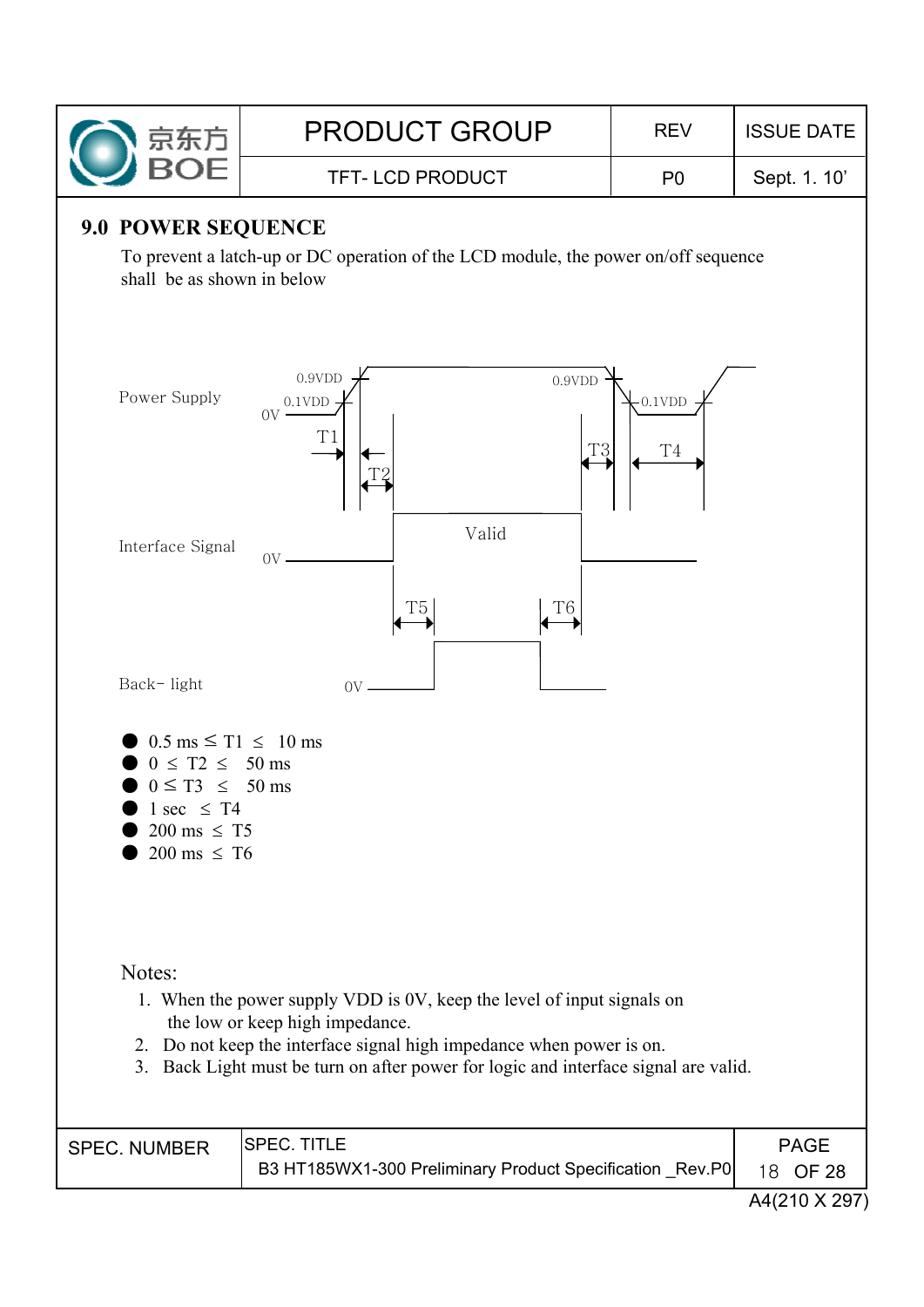| ● 京东方         | <b>PRODUCT GROUP</b>   | REV | <b>ISSUE DATE</b> |
|---------------|------------------------|-----|-------------------|
| <b>NO BOE</b> | <b>TFT-LCD PRODUCT</b> | P0  | Sept. 1. 10'      |

#### **9.0 POWER SEQUENCE**

To prevent a latch-up or DC operation of the LCD module, the power on/off sequence shall be as shown in below

![](_page_17_Figure_3.jpeg)

A4(210 X 297)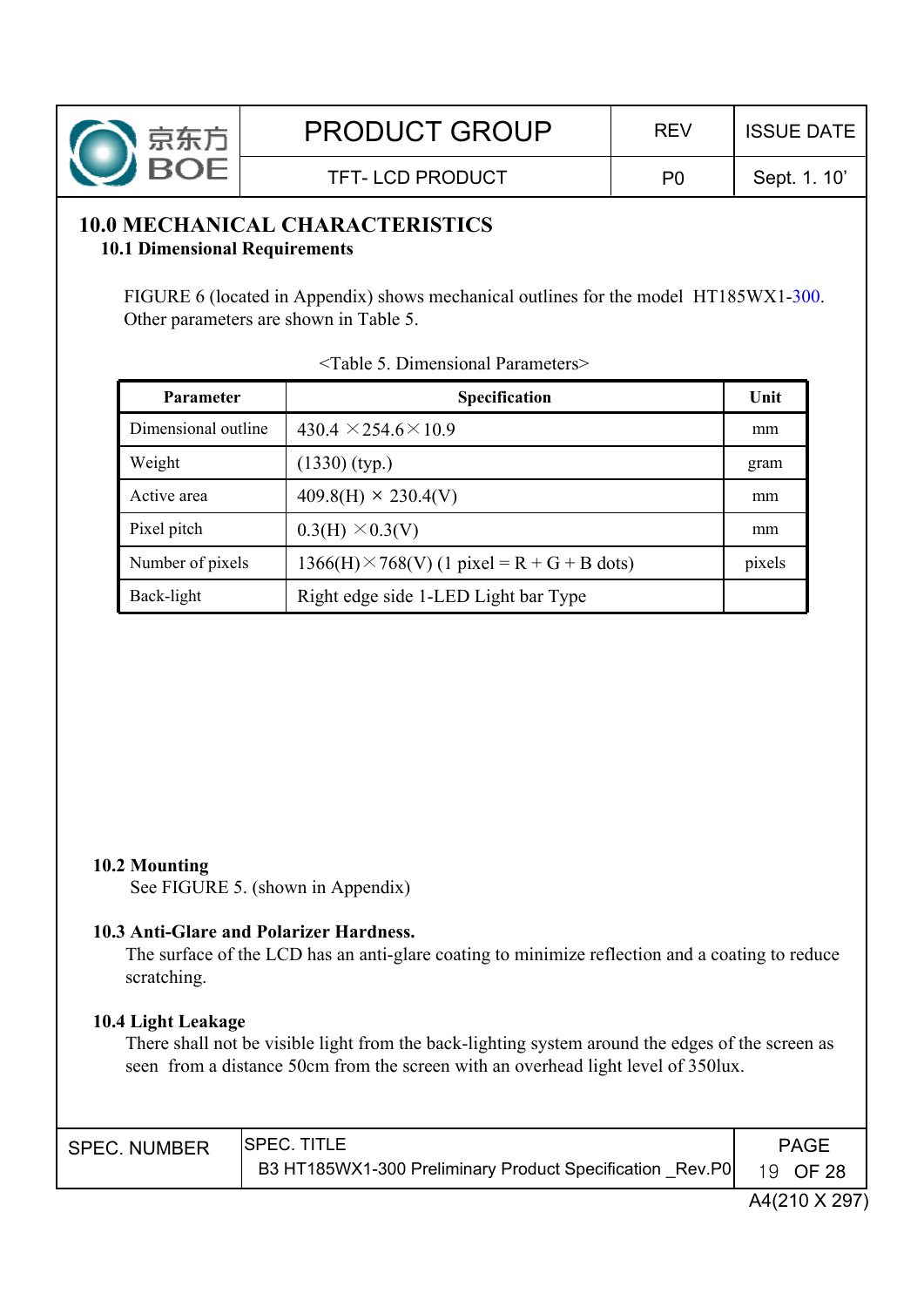![](_page_18_Picture_0.jpeg)

# **10.0 MECHANICAL CHARACTERISTICS**

**10.1 Dimensional Requirements**

FIGURE 6 (located in Appendix) shows mechanical outlines for the model HT185WX1-300. Other parameters are shown in Table 5.

| <b>Parameter</b>    | <b>Specification</b>                               | Unit   |
|---------------------|----------------------------------------------------|--------|
| Dimensional outline | $430.4 \times 254.6 \times 10.9$                   | mm     |
| Weight              | $(1330)$ (typ.)                                    | gram   |
| Active area         | $409.8(H) \times 230.4(V)$                         | mm     |
| Pixel pitch         | $0.3(H) \times 0.3(V)$                             | mm     |
| Number of pixels    | $1366(H) \times 768(V)$ (1 pixel = R + G + B dots) | pixels |
| Back-light          | Right edge side 1-LED Light bar Type               |        |

| <table 5.="" dimensional="" parameters=""></table> |  |
|----------------------------------------------------|--|
|                                                    |  |
|                                                    |  |

## **10.2 Mounting**

See FIGURE 5. (shown in Appendix)

### **10.3 Anti-Glare and Polarizer Hardness.**

The surface of the LCD has an anti-glare coating to minimize reflection and a coating to reduce scratching.

## **10.4 Light Leakage**

There shall not be visible light from the back-lighting system around the edges of the screen as seen from a distance 50cm from the screen with an overhead light level of 350lux.

| <b>SPEC. NUMBER</b> | <b>ISPEC. TITLE</b>                                       | PAGE         |
|---------------------|-----------------------------------------------------------|--------------|
|                     | B3 HT185WX1-300 Preliminary Product Specification _Rev.P0 | 19 OF 28     |
|                     |                                                           | . <i>. .</i> |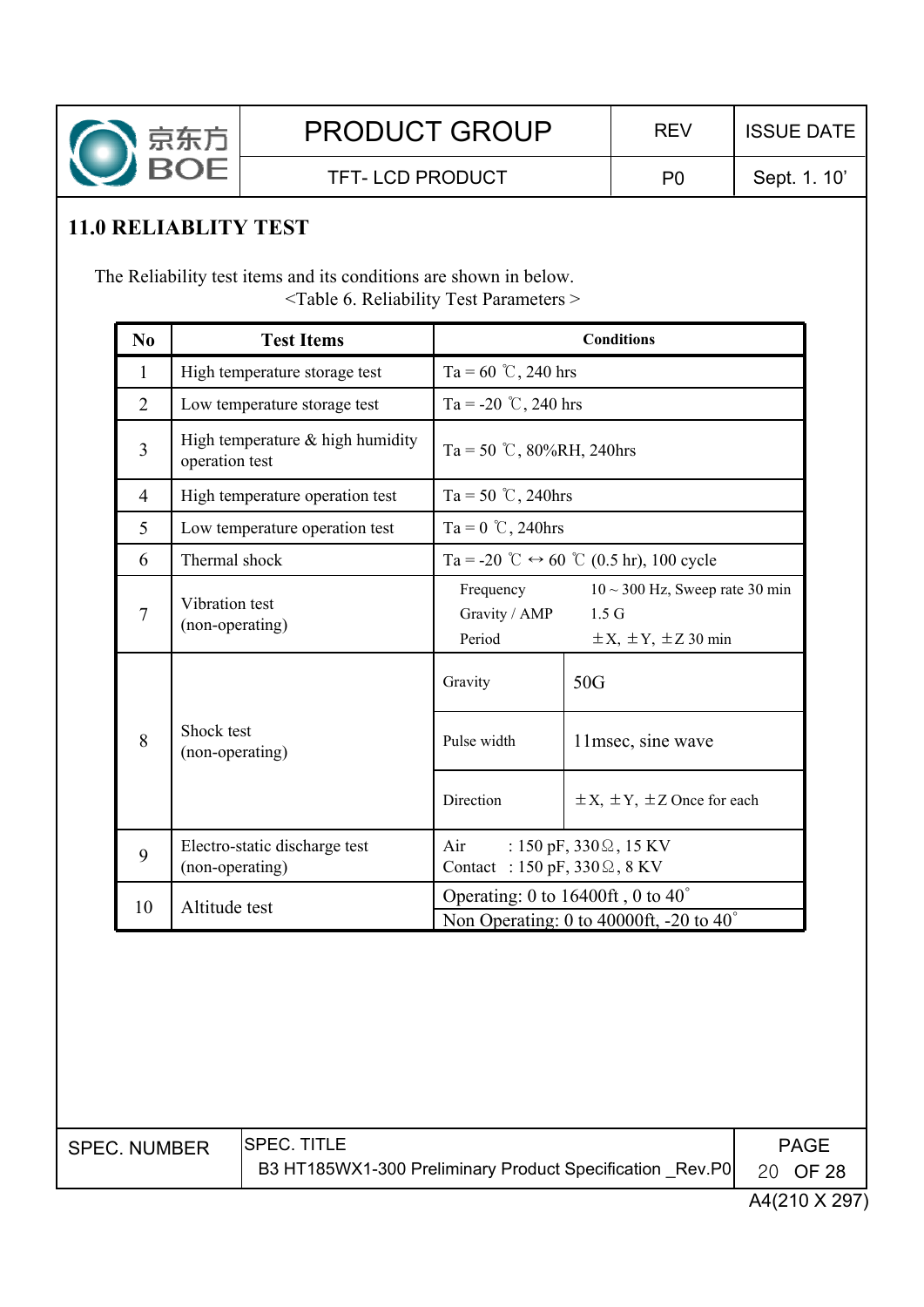![](_page_19_Picture_0.jpeg)

Sept. 1. 10'

TFT-LCD PRODUCT P0

## **11.0 RELIABLITY TEST**

The Reliability test items and its conditions are shown in below. <Table 6. Reliability Test Parameters >

| No             | <b>Test Items</b>                                    |                                      | <b>Conditions</b>                                                                                            |  |  |  |  |
|----------------|------------------------------------------------------|--------------------------------------|--------------------------------------------------------------------------------------------------------------|--|--|--|--|
| $\mathbf{1}$   | High temperature storage test                        | Ta = 60 °C, 240 hrs                  |                                                                                                              |  |  |  |  |
| $\overline{2}$ | Low temperature storage test                         | Ta = -20 °C, 240 hrs                 |                                                                                                              |  |  |  |  |
| 3              | High temperature $&$ high humidity<br>operation test | Ta = 50 °C, 80%RH, 240hrs            |                                                                                                              |  |  |  |  |
| $\overline{4}$ | High temperature operation test                      | Ta = 50 °C, 240hrs                   |                                                                                                              |  |  |  |  |
| 5              | Low temperature operation test                       | Ta = $0^\circ$ C, 240hrs             |                                                                                                              |  |  |  |  |
| 6              | Thermal shock                                        |                                      | Ta = -20 °C $\leftrightarrow$ 60 °C (0.5 hr), 100 cycle                                                      |  |  |  |  |
| $\overline{7}$ | Vibration test<br>(non-operating)                    | Frequency<br>Gravity / AMP<br>Period | $10 \sim 300$ Hz, Sweep rate 30 min<br>1.5 <sub>G</sub><br>$\pm X$ , $\pm Y$ , $\pm Z$ 30 min                |  |  |  |  |
|                |                                                      | Gravity                              | 50G                                                                                                          |  |  |  |  |
| 8              | Shock test<br>(non-operating)                        | Pulse width                          | 11 msec, sine wave                                                                                           |  |  |  |  |
|                |                                                      | Direction                            | $\pm X$ , $\pm Y$ , $\pm Z$ Once for each                                                                    |  |  |  |  |
| 9              | Electro-static discharge test<br>(non-operating)     | Air<br>Contact : 150 pF, 330 Q, 8 KV | : 150 pF, 330 Q, 15 KV                                                                                       |  |  |  |  |
| 10             | Altitude test                                        |                                      | Operating: 0 to $16400 \text{ft}$ , 0 to $40^{\circ}$<br>Non Operating: 0 to 40000ft, $-20$ to 40 $^{\circ}$ |  |  |  |  |

| <b>SPEC. NUMBER</b> | <b>SPEC. TITLE</b>                                                   |  |  |  |  |  |  |
|---------------------|----------------------------------------------------------------------|--|--|--|--|--|--|
|                     | B3 HT185WX1-300 Preliminary Product Specification _Rev.P0   20 OF 28 |  |  |  |  |  |  |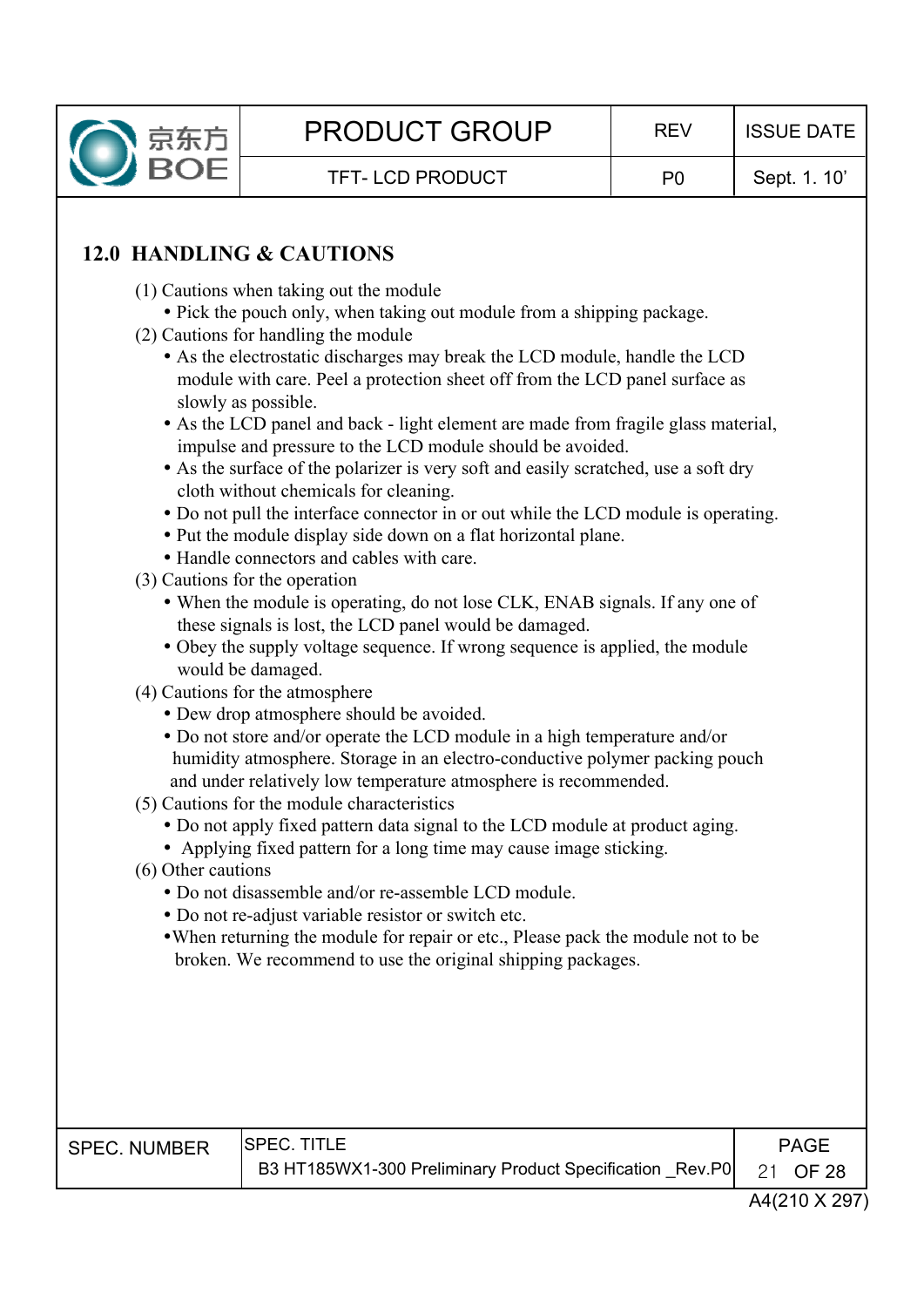![](_page_20_Picture_0.jpeg)

## **12.0 HANDLING & CAUTIONS**

- (1) Cautions when taking out the module
	- Pick the pouch only, when taking out module from a shipping package.
- (2) Cautions for handling the module
	- As the electrostatic discharges may break the LCD module, handle the LCD module with care. Peel a protection sheet off from the LCD panel surface as slowly as possible.
	- As the LCD panel and back light element are made from fragile glass material, impulse and pressure to the LCD module should be avoided.
	- As the surface of the polarizer is very soft and easily scratched, use a soft dry cloth without chemicals for cleaning.
	- Do not pull the interface connector in or out while the LCD module is operating.
	- Put the module display side down on a flat horizontal plane.
	- Handle connectors and cables with care.
- (3) Cautions for the operation
	- When the module is operating, do not lose CLK, ENAB signals. If any one of these signals is lost, the LCD panel would be damaged.
	- Obey the supply voltage sequence. If wrong sequence is applied, the module would be damaged.
- (4) Cautions for the atmosphere
	- Dew drop atmosphere should be avoided.
	- Do not store and/or operate the LCD module in a high temperature and/or humidity atmosphere. Storage in an electro-conductive polymer packing pouch and under relatively low temperature atmosphere is recommended.
- (5) Cautions for the module characteristics
	- Do not apply fixed pattern data signal to the LCD module at product aging.
	- Applying fixed pattern for a long time may cause image sticking.
- (6) Other cautions
	- Do not disassemble and/or re-assemble LCD module.
	- Do not re-adjust variable resistor or switch etc.
	- When returning the module for repair or etc., Please pack the module not to be broken. We recommend to use the original shipping packages.

| <b>SPEC. NUMBER</b> | <b>SPEC. TITLE</b>                                                   | PAGF |
|---------------------|----------------------------------------------------------------------|------|
|                     | B3 HT185WX1-300 Preliminary Product Specification _Rev.P0   21 OF 28 |      |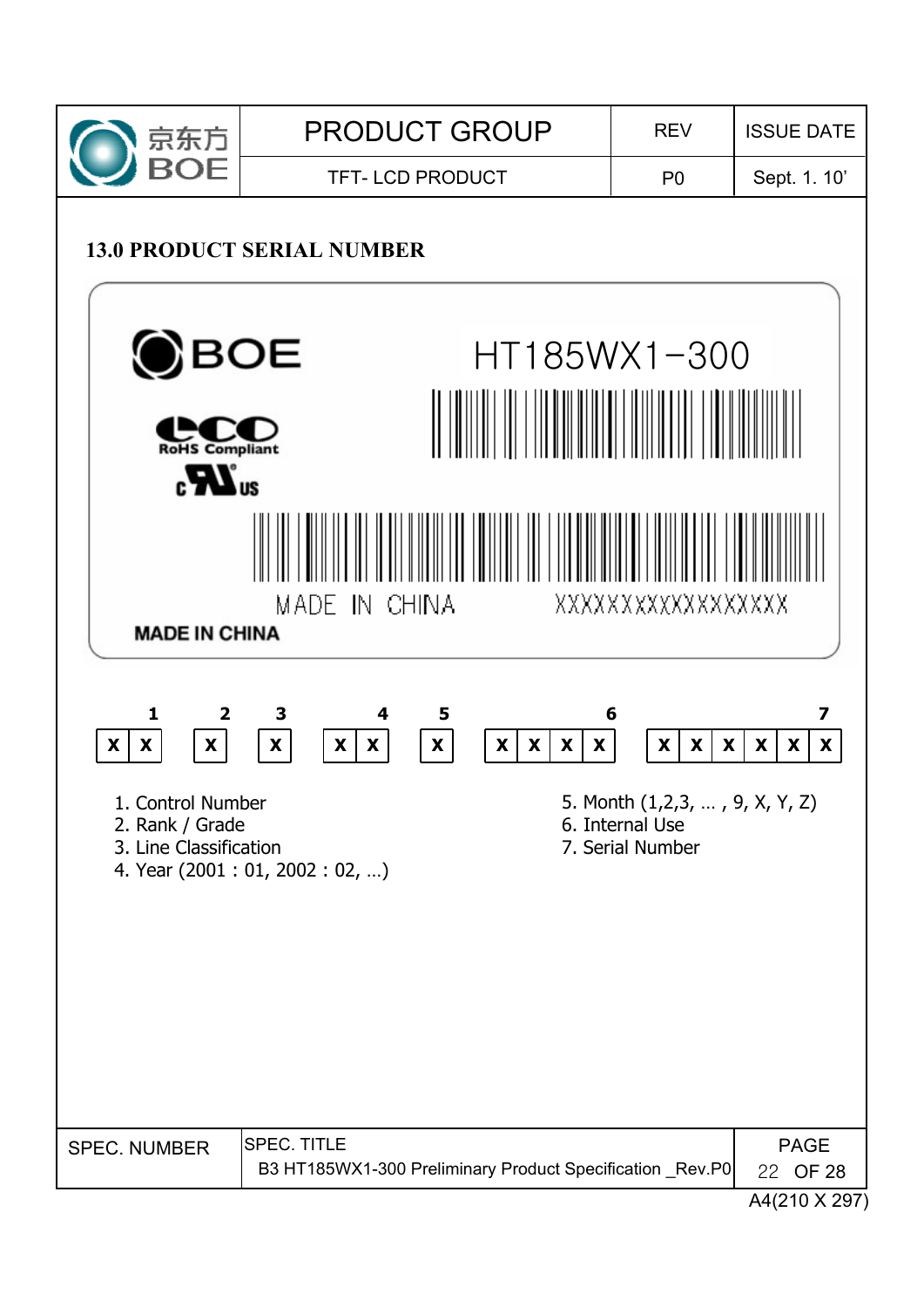![](_page_21_Picture_0.jpeg)

### **13.0 PRODUCT SERIAL NUMBER**

![](_page_21_Figure_2.jpeg)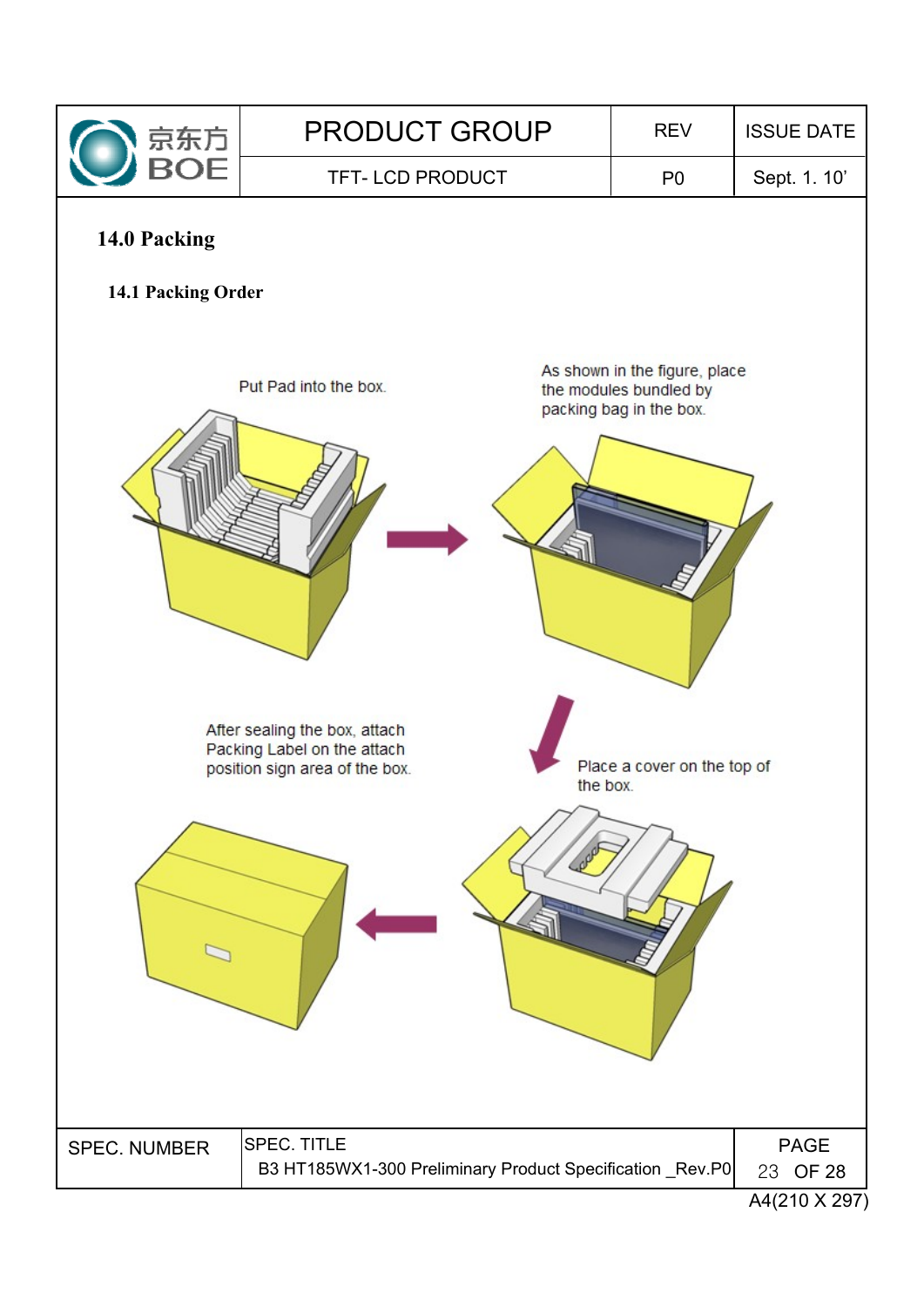![](_page_22_Figure_0.jpeg)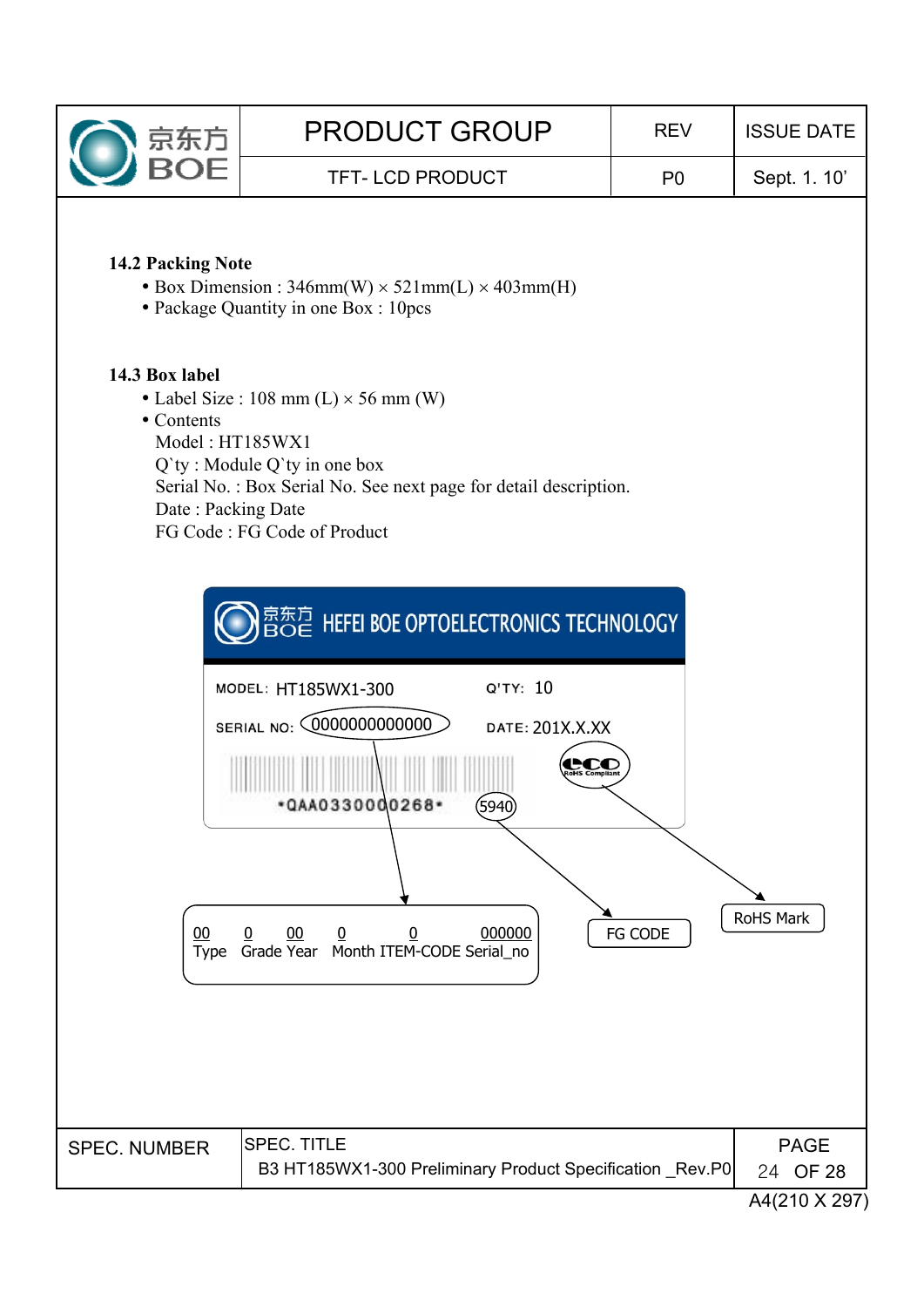![](_page_23_Picture_0.jpeg)

Sept. 1. 10'

#### **14.2 Packing Note**

- Box Dimension :  $346mm(W) \times 521mm(L) \times 403mm(H)$
- Package Quantity in one Box : 10pcs

#### **14.3 Box label**

- Label Size : 108 mm  $(L) \times 56$  mm  $(W)$
- Contents

Model : HT185WX1 Q`ty : Module Q`ty in one box Serial No. : Box Serial No. See next page for detail description. Date : Packing Date FG Code : FG Code of Product

![](_page_23_Figure_13.jpeg)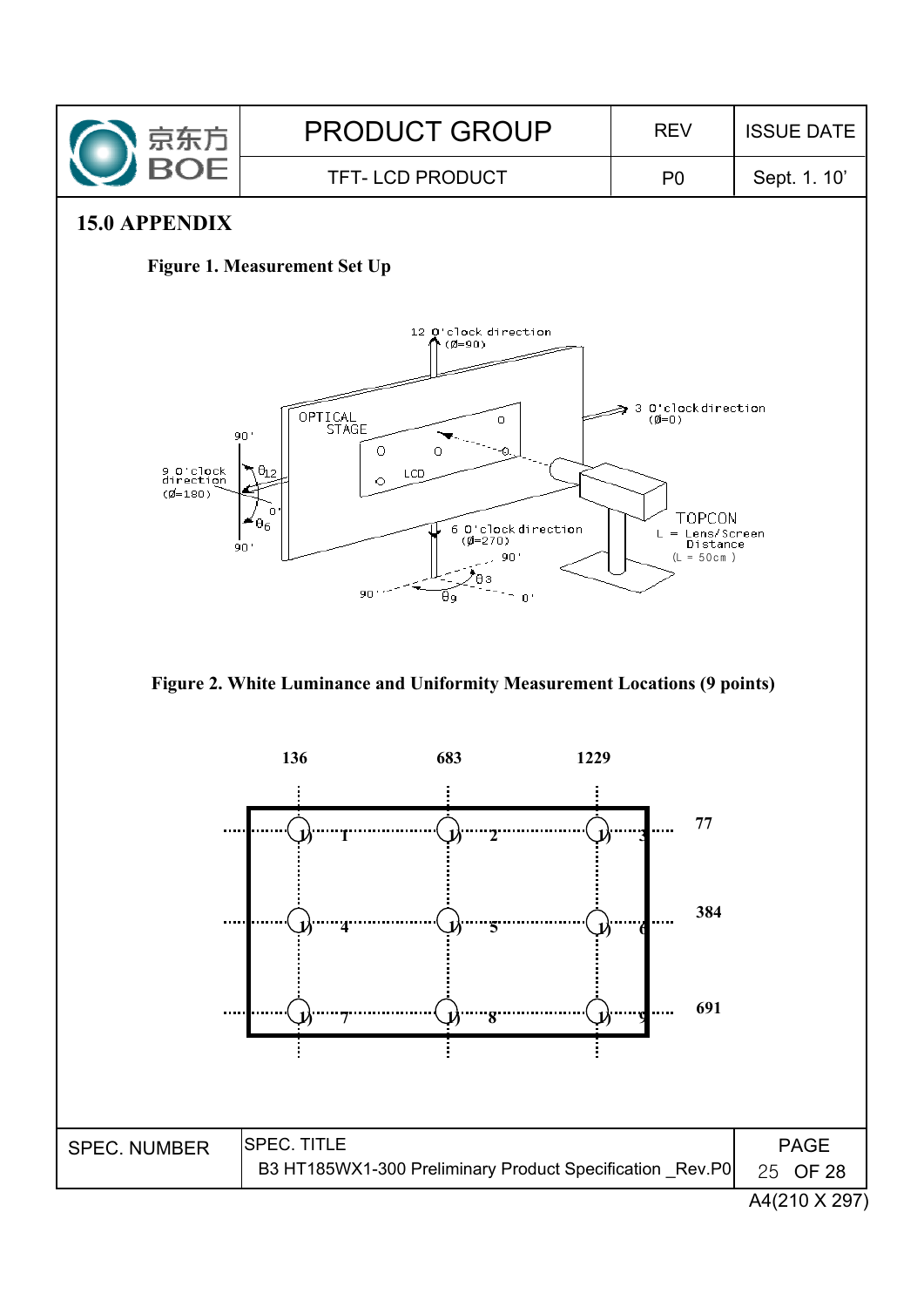![](_page_24_Figure_0.jpeg)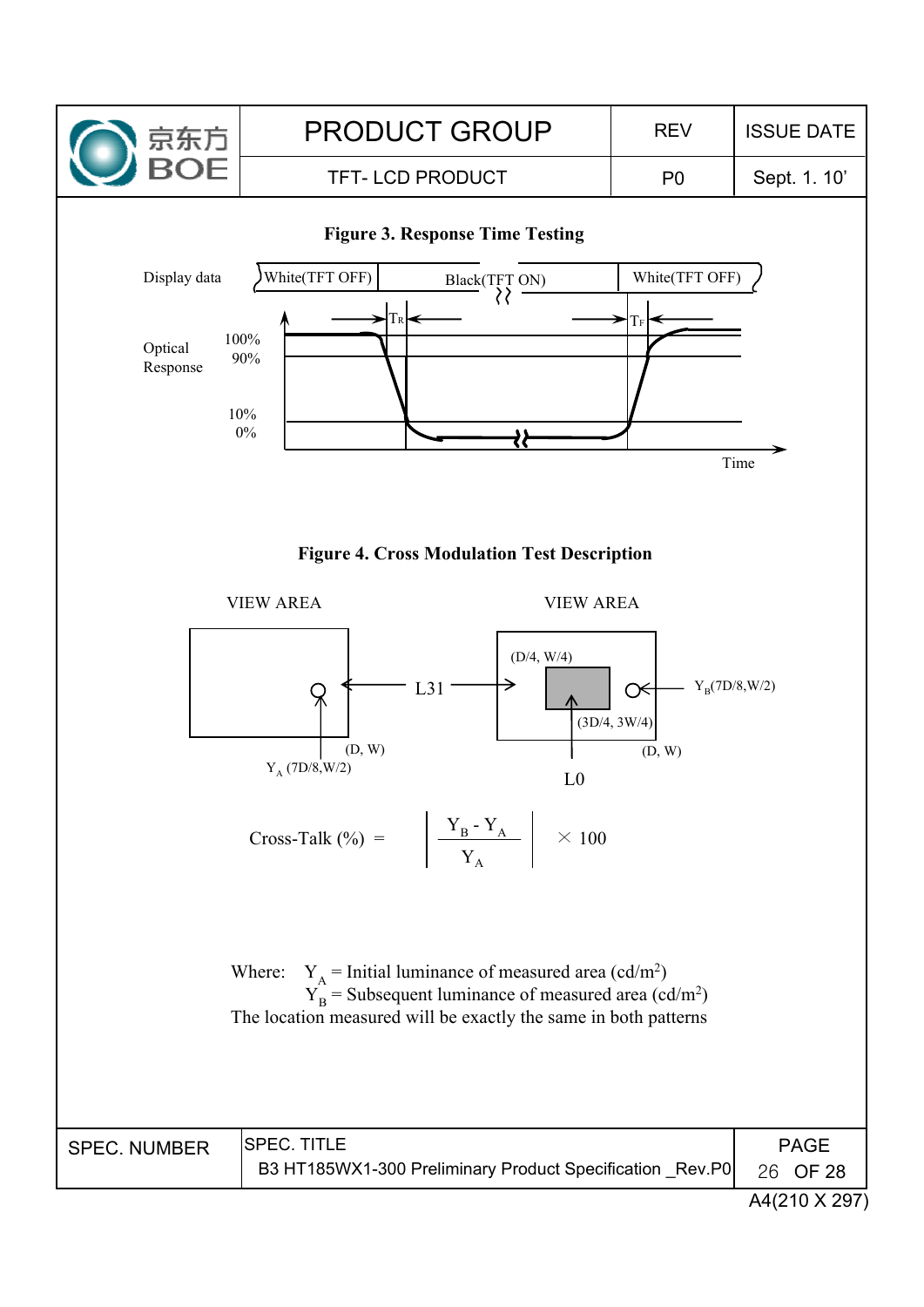![](_page_25_Figure_0.jpeg)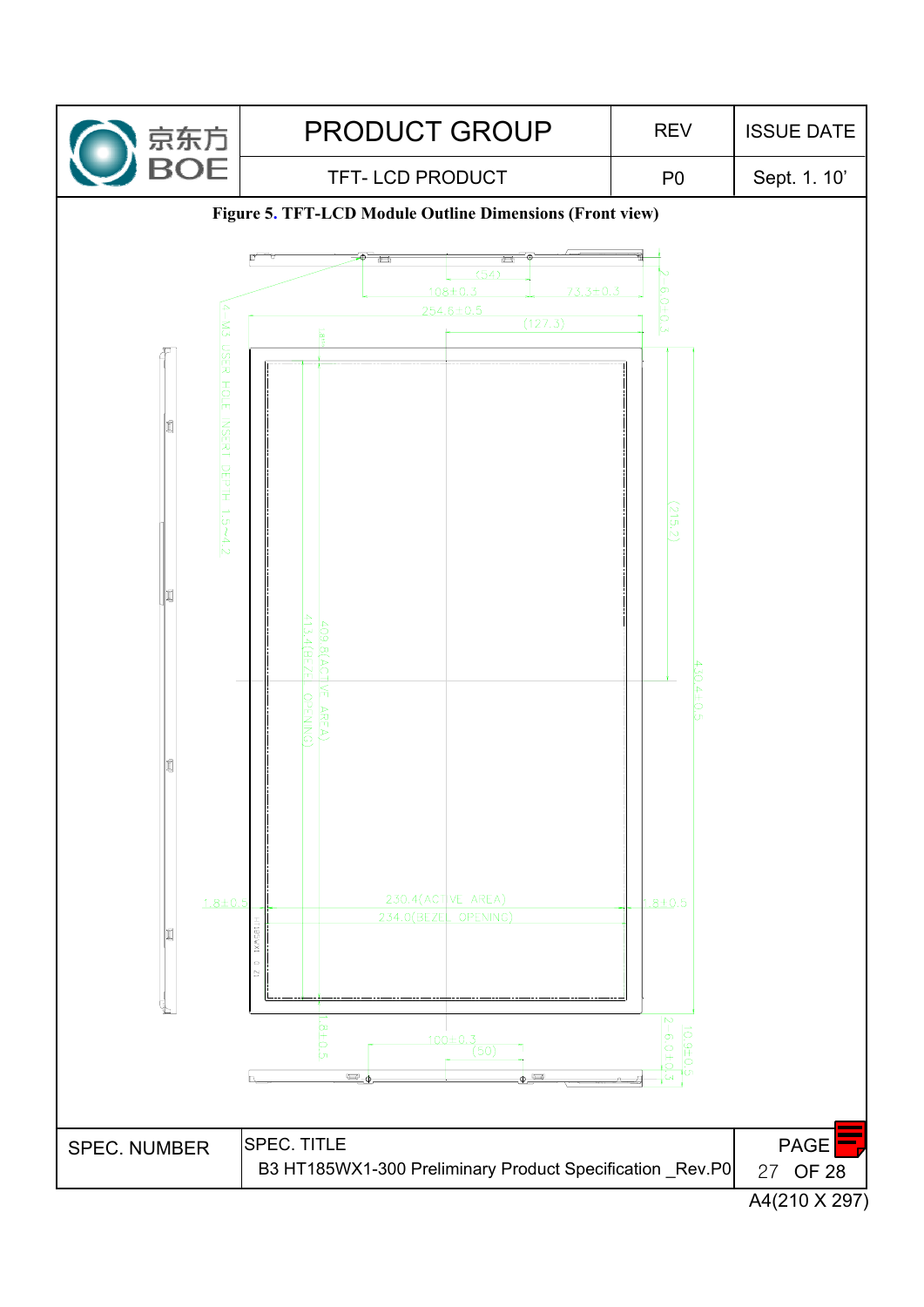![](_page_26_Figure_0.jpeg)